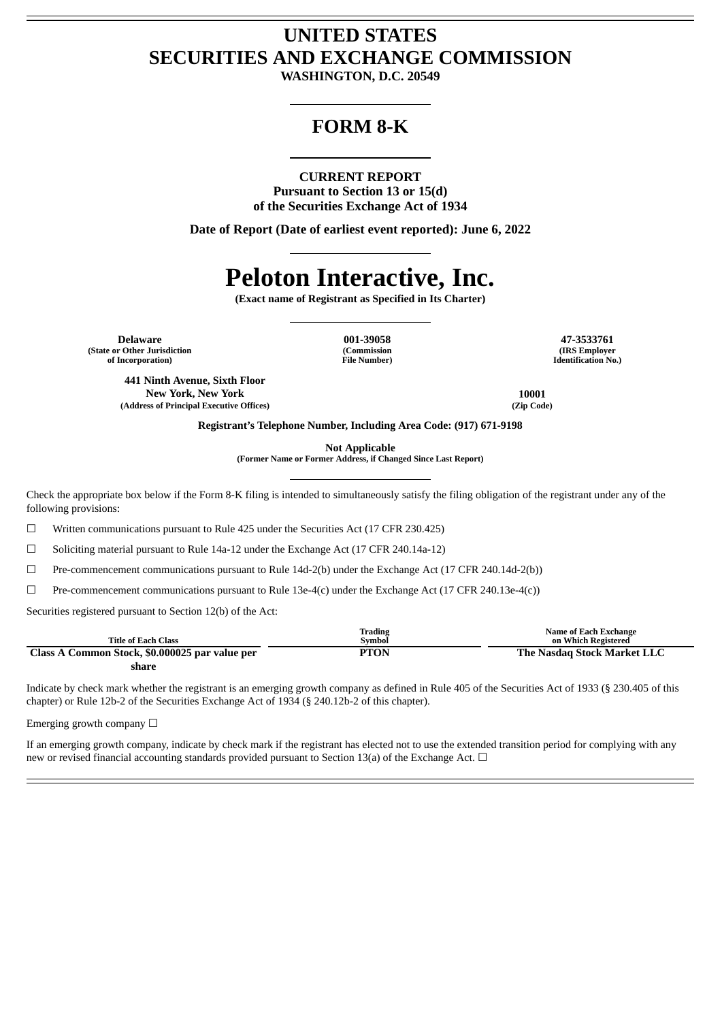# **UNITED STATES SECURITIES AND EXCHANGE COMMISSION**

**WASHINGTON, D.C. 20549**

# **FORM 8-K**

# **CURRENT REPORT**

**Pursuant to Section 13 or 15(d) of the Securities Exchange Act of 1934**

**Date of Report (Date of earliest event reported): June 6, 2022**

# **Peloton Interactive, Inc.**

**(Exact name of Registrant as Specified in Its Charter)**

**Delaware 001-39058 47-3533761 (State or Other Jurisdiction of Incorporation)**

**(Commission File Number)**

**(IRS Employer Identification No.)**

**441 Ninth Avenue, Sixth Floor New York, New York 10001 (Address of Principal Executive Offices) (Zip Code)**

**Registrant's Telephone Number, Including Area Code: (917) 671-9198**

**Not Applicable**

**(Former Name or Former Address, if Changed Since Last Report)**

Check the appropriate box below if the Form 8-K filing is intended to simultaneously satisfy the filing obligation of the registrant under any of the following provisions:

☐ Written communications pursuant to Rule 425 under the Securities Act (17 CFR 230.425)

☐ Soliciting material pursuant to Rule 14a-12 under the Exchange Act (17 CFR 240.14a-12)

☐ Pre-commencement communications pursuant to Rule 14d-2(b) under the Exchange Act (17 CFR 240.14d-2(b))

☐ Pre-commencement communications pursuant to Rule 13e-4(c) under the Exchange Act (17 CFR 240.13e-4(c))

Securities registered pursuant to Section 12(b) of the Act:

|                                                | <b>Trading</b> | Name of Each Exchange       |
|------------------------------------------------|----------------|-----------------------------|
| <b>Title of Each Class</b>                     | Symbol         | on Which Registered         |
| Class A Common Stock, \$0.000025 par value per | PTON           | The Nasdag Stock Market LLC |
| share                                          |                |                             |

Indicate by check mark whether the registrant is an emerging growth company as defined in Rule 405 of the Securities Act of 1933 (§ 230.405 of this chapter) or Rule 12b-2 of the Securities Exchange Act of 1934 (§ 240.12b-2 of this chapter).

Emerging growth company  $\Box$ 

If an emerging growth company, indicate by check mark if the registrant has elected not to use the extended transition period for complying with any new or revised financial accounting standards provided pursuant to Section 13(a) of the Exchange Act.  $\Box$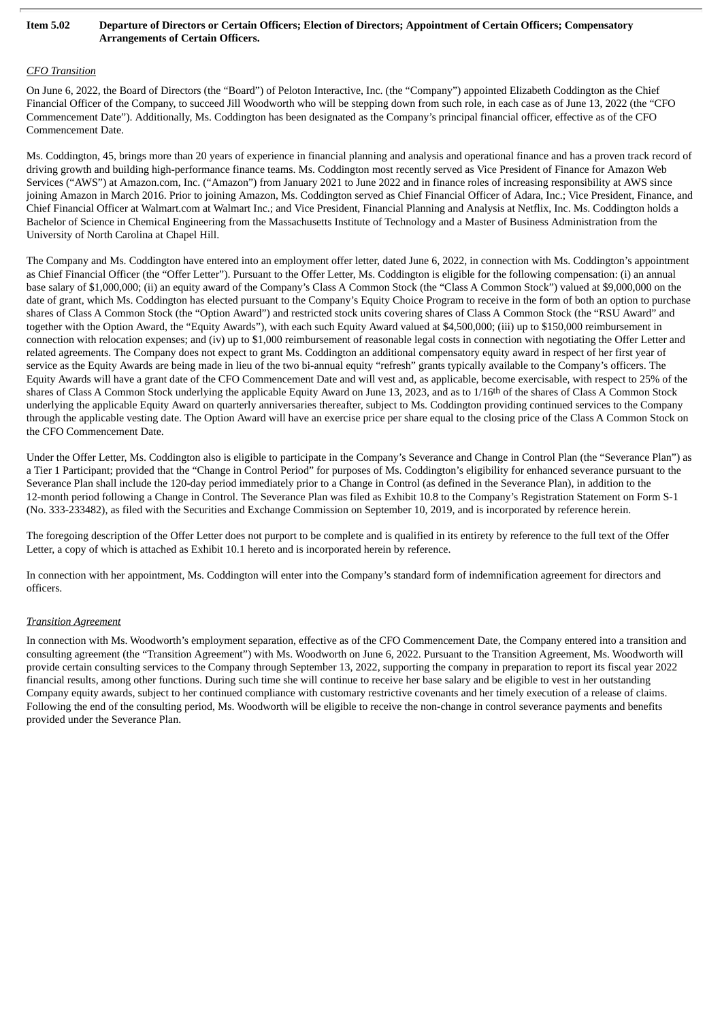#### Item 5.02 Departure of Directors or Certain Officers; Election of Directors; Appointment of Certain Officers; Compensatory **Arrangements of Certain Officers.**

#### *CFO Transition*

On June 6, 2022, the Board of Directors (the "Board") of Peloton Interactive, Inc. (the "Company") appointed Elizabeth Coddington as the Chief Financial Officer of the Company, to succeed Jill Woodworth who will be stepping down from such role, in each case as of June 13, 2022 (the "CFO Commencement Date"). Additionally, Ms. Coddington has been designated as the Company's principal financial officer, effective as of the CFO Commencement Date.

Ms. Coddington, 45, brings more than 20 years of experience in financial planning and analysis and operational finance and has a proven track record of driving growth and building high-performance finance teams. Ms. Coddington most recently served as Vice President of Finance for Amazon Web Services ("AWS") at Amazon.com, Inc. ("Amazon") from January 2021 to June 2022 and in finance roles of increasing responsibility at AWS since joining Amazon in March 2016. Prior to joining Amazon, Ms. Coddington served as Chief Financial Officer of Adara, Inc.; Vice President, Finance, and Chief Financial Officer at Walmart.com at Walmart Inc.; and Vice President, Financial Planning and Analysis at Netflix, Inc. Ms. Coddington holds a Bachelor of Science in Chemical Engineering from the Massachusetts Institute of Technology and a Master of Business Administration from the University of North Carolina at Chapel Hill.

The Company and Ms. Coddington have entered into an employment offer letter, dated June 6, 2022, in connection with Ms. Coddington's appointment as Chief Financial Officer (the "Offer Letter"). Pursuant to the Offer Letter, Ms. Coddington is eligible for the following compensation: (i) an annual base salary of \$1,000,000; (ii) an equity award of the Company's Class A Common Stock (the "Class A Common Stock") valued at \$9,000,000 on the date of grant, which Ms. Coddington has elected pursuant to the Company's Equity Choice Program to receive in the form of both an option to purchase shares of Class A Common Stock (the "Option Award") and restricted stock units covering shares of Class A Common Stock (the "RSU Award" and together with the Option Award, the "Equity Awards"), with each such Equity Award valued at \$4,500,000; (iii) up to \$150,000 reimbursement in connection with relocation expenses; and (iv) up to \$1,000 reimbursement of reasonable legal costs in connection with negotiating the Offer Letter and related agreements. The Company does not expect to grant Ms. Coddington an additional compensatory equity award in respect of her first year of service as the Equity Awards are being made in lieu of the two bi-annual equity "refresh" grants typically available to the Company's officers. The Equity Awards will have a grant date of the CFO Commencement Date and will vest and, as applicable, become exercisable, with respect to 25% of the shares of Class A Common Stock underlying the applicable Equity Award on June 13, 2023, and as to 1/16th of the shares of Class A Common Stock underlying the applicable Equity Award on quarterly anniversaries thereafter, subject to Ms. Coddington providing continued services to the Company through the applicable vesting date. The Option Award will have an exercise price per share equal to the closing price of the Class A Common Stock on the CFO Commencement Date.

Under the Offer Letter, Ms. Coddington also is eligible to participate in the Company's Severance and Change in Control Plan (the "Severance Plan") as a Tier 1 Participant; provided that the "Change in Control Period" for purposes of Ms. Coddington's eligibility for enhanced severance pursuant to the Severance Plan shall include the 120-day period immediately prior to a Change in Control (as defined in the Severance Plan), in addition to the 12-month period following a Change in Control. The Severance Plan was filed as Exhibit 10.8 to the Company's Registration Statement on Form S-1 (No. 333-233482), as filed with the Securities and Exchange Commission on September 10, 2019, and is incorporated by reference herein.

The foregoing description of the Offer Letter does not purport to be complete and is qualified in its entirety by reference to the full text of the Offer Letter, a copy of which is attached as Exhibit 10.1 hereto and is incorporated herein by reference.

In connection with her appointment, Ms. Coddington will enter into the Company's standard form of indemnification agreement for directors and officers.

#### *Transition Agreement*

In connection with Ms. Woodworth's employment separation, effective as of the CFO Commencement Date, the Company entered into a transition and consulting agreement (the "Transition Agreement") with Ms. Woodworth on June 6, 2022. Pursuant to the Transition Agreement, Ms. Woodworth will provide certain consulting services to the Company through September 13, 2022, supporting the company in preparation to report its fiscal year 2022 financial results, among other functions. During such time she will continue to receive her base salary and be eligible to vest in her outstanding Company equity awards, subject to her continued compliance with customary restrictive covenants and her timely execution of a release of claims. Following the end of the consulting period, Ms. Woodworth will be eligible to receive the non-change in control severance payments and benefits provided under the Severance Plan.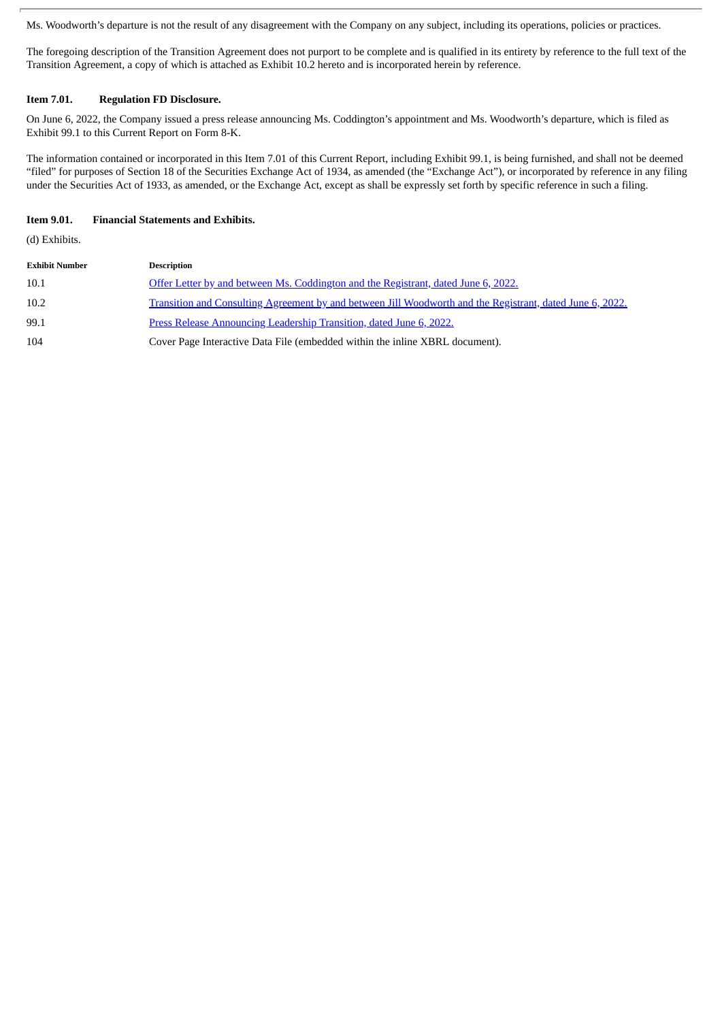Ms. Woodworth's departure is not the result of any disagreement with the Company on any subject, including its operations, policies or practices.

The foregoing description of the Transition Agreement does not purport to be complete and is qualified in its entirety by reference to the full text of the Transition Agreement, a copy of which is attached as Exhibit 10.2 hereto and is incorporated herein by reference.

# **Item 7.01. Regulation FD Disclosure.**

On June 6, 2022, the Company issued a press release announcing Ms. Coddington's appointment and Ms. Woodworth's departure, which is filed as Exhibit 99.1 to this Current Report on Form 8-K.

The information contained or incorporated in this Item 7.01 of this Current Report, including Exhibit 99.1, is being furnished, and shall not be deemed "filed" for purposes of Section 18 of the Securities Exchange Act of 1934, as amended (the "Exchange Act"), or incorporated by reference in any filing under the Securities Act of 1933, as amended, or the Exchange Act, except as shall be expressly set forth by specific reference in such a filing.

# **Item 9.01. Financial Statements and Exhibits.**

(d) Exhibits.

| <b>Exhibit Number</b> | <b>Description</b>                                                                                        |
|-----------------------|-----------------------------------------------------------------------------------------------------------|
| 10.1                  | Offer Letter by and between Ms. Coddington and the Registrant, dated June 6, 2022.                        |
| 10.2                  | Transition and Consulting Agreement by and between Jill Woodworth and the Registrant, dated June 6, 2022. |
| 99.1                  | Press Release Announcing Leadership Transition, dated June 6, 2022.                                       |
| 104                   | Cover Page Interactive Data File (embedded within the inline XBRL document).                              |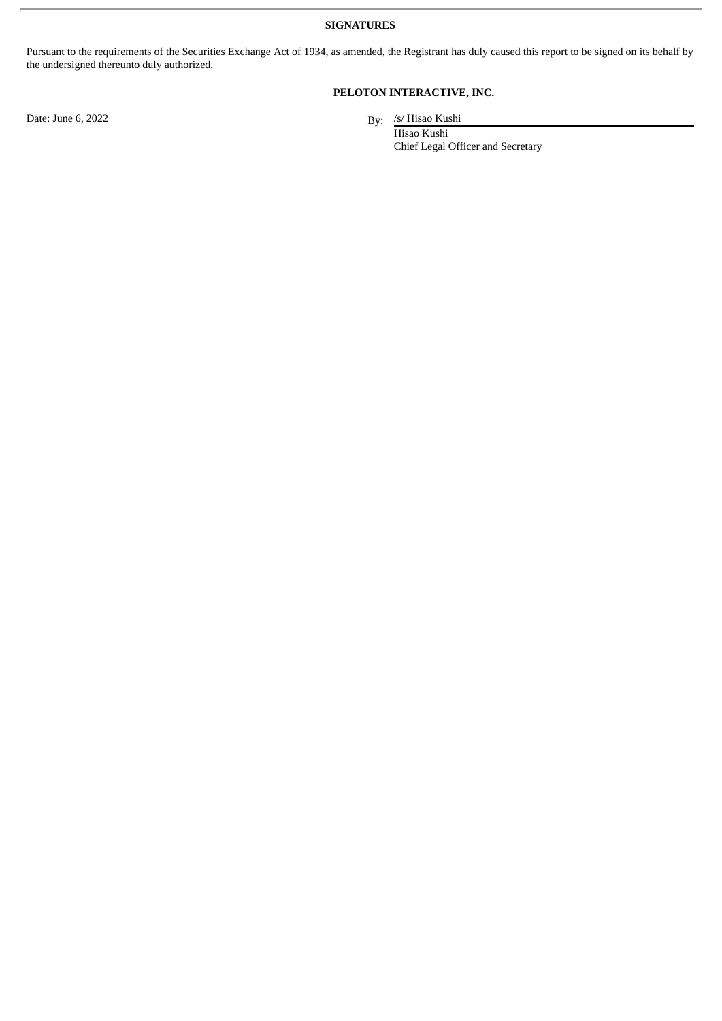**SIGNATURES**

Pursuant to the requirements of the Securities Exchange Act of 1934, as amended, the Registrant has duly caused this report to be signed on its behalf by the undersigned thereunto duly authorized.

# **PELOTON INTERACTIVE, INC.**

By: /s/ Hisao Kushi

Hisao Kushi Chief Legal Officer and Secretary

Date: June 6, 2022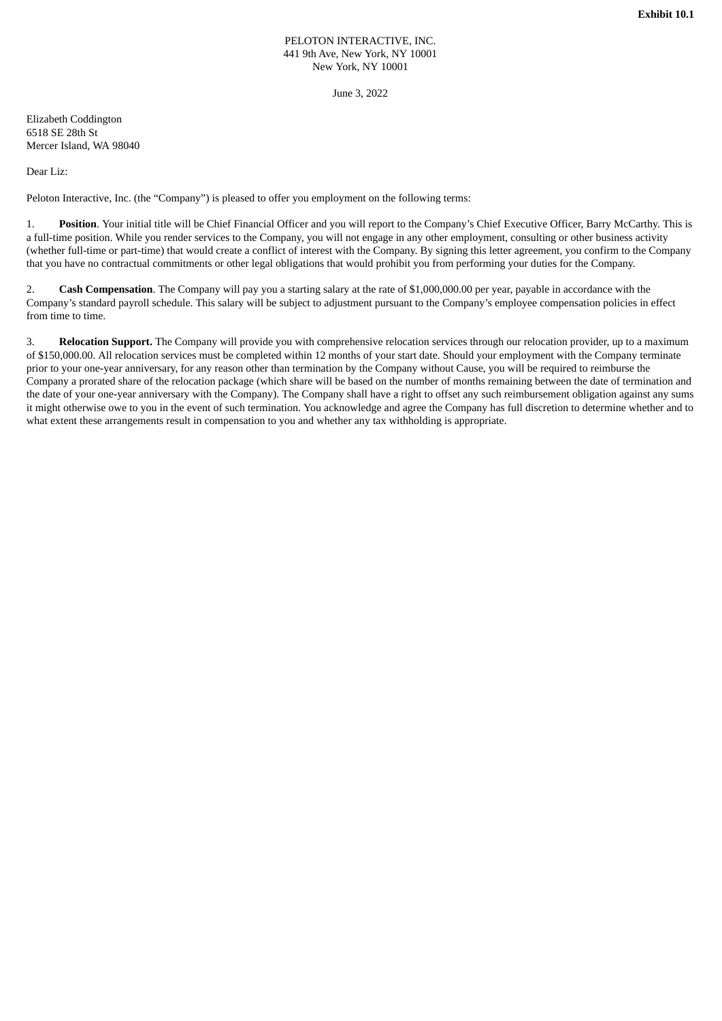#### PELOTON INTERACTIVE, INC. 441 9th Ave, New York, NY 10001 New York, NY 10001

June 3, 2022

<span id="page-4-0"></span>Elizabeth Coddington 6518 SE 28th St Mercer Island, WA 98040

Dear Liz:

Peloton Interactive, Inc. (the "Company") is pleased to offer you employment on the following terms:

1. **Position**. Your initial title will be Chief Financial Officer and you will report to the Company's Chief Executive Officer, Barry McCarthy. This is a full-time position. While you render services to the Company, you will not engage in any other employment, consulting or other business activity (whether full-time or part-time) that would create a conflict of interest with the Company. By signing this letter agreement, you confirm to the Company that you have no contractual commitments or other legal obligations that would prohibit you from performing your duties for the Company.

2. **Cash Compensation**. The Company will pay you a starting salary at the rate of \$1,000,000.00 per year, payable in accordance with the Company's standard payroll schedule. This salary will be subject to adjustment pursuant to the Company's employee compensation policies in effect from time to time.

3. **Relocation Support.** The Company will provide you with comprehensive relocation services through our relocation provider, up to a maximum of \$150,000.00. All relocation services must be completed within 12 months of your start date. Should your employment with the Company terminate prior to your one-year anniversary, for any reason other than termination by the Company without Cause, you will be required to reimburse the Company a prorated share of the relocation package (which share will be based on the number of months remaining between the date of termination and the date of your one-year anniversary with the Company). The Company shall have a right to offset any such reimbursement obligation against any sums it might otherwise owe to you in the event of such termination. You acknowledge and agree the Company has full discretion to determine whether and to what extent these arrangements result in compensation to you and whether any tax withholding is appropriate.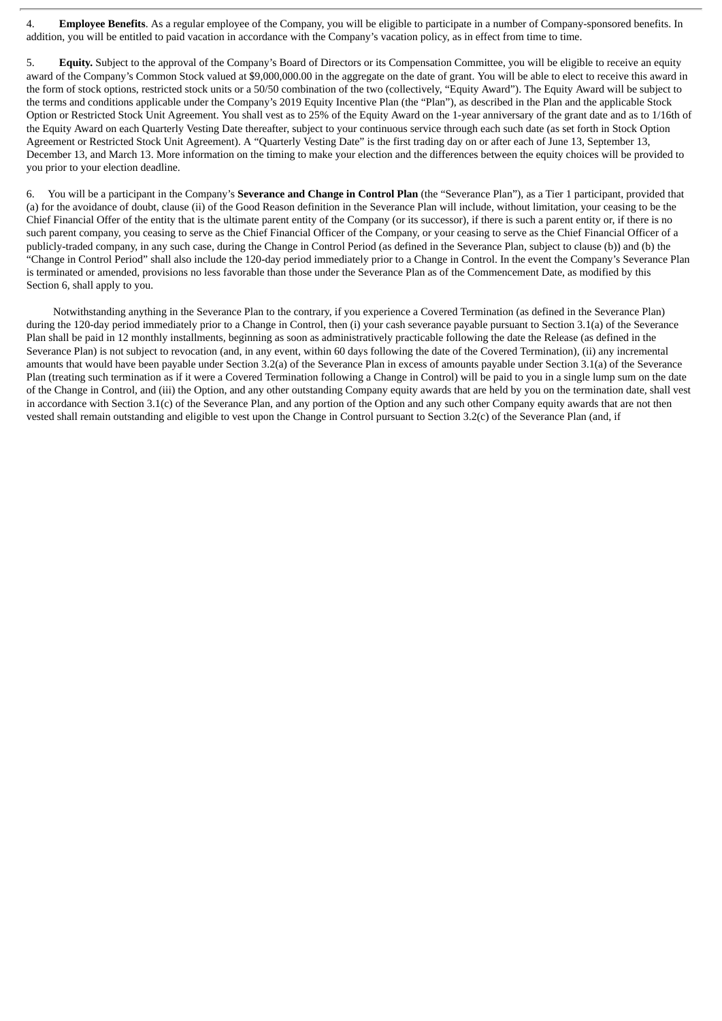4. **Employee Benefits**. As a regular employee of the Company, you will be eligible to participate in a number of Company-sponsored benefits. In addition, you will be entitled to paid vacation in accordance with the Company's vacation policy, as in effect from time to time.

5. **Equity.** Subject to the approval of the Company's Board of Directors or its Compensation Committee, you will be eligible to receive an equity award of the Company's Common Stock valued at \$9,000,000.00 in the aggregate on the date of grant. You will be able to elect to receive this award in the form of stock options, restricted stock units or a 50/50 combination of the two (collectively, "Equity Award"). The Equity Award will be subject to the terms and conditions applicable under the Company's 2019 Equity Incentive Plan (the "Plan"), as described in the Plan and the applicable Stock Option or Restricted Stock Unit Agreement. You shall vest as to 25% of the Equity Award on the 1-year anniversary of the grant date and as to 1/16th of the Equity Award on each Quarterly Vesting Date thereafter, subject to your continuous service through each such date (as set forth in Stock Option Agreement or Restricted Stock Unit Agreement). A "Quarterly Vesting Date" is the first trading day on or after each of June 13, September 13, December 13, and March 13. More information on the timing to make your election and the differences between the equity choices will be provided to you prior to your election deadline.

6. You will be a participant in the Company's **Severance and Change in Control Plan** (the "Severance Plan"), as a Tier 1 participant, provided that (a) for the avoidance of doubt, clause (ii) of the Good Reason definition in the Severance Plan will include, without limitation, your ceasing to be the Chief Financial Offer of the entity that is the ultimate parent entity of the Company (or its successor), if there is such a parent entity or, if there is no such parent company, you ceasing to serve as the Chief Financial Officer of the Company, or your ceasing to serve as the Chief Financial Officer of a publicly-traded company, in any such case, during the Change in Control Period (as defined in the Severance Plan, subject to clause (b)) and (b) the "Change in Control Period" shall also include the 120-day period immediately prior to a Change in Control. In the event the Company's Severance Plan is terminated or amended, provisions no less favorable than those under the Severance Plan as of the Commencement Date, as modified by this Section 6, shall apply to you.

Notwithstanding anything in the Severance Plan to the contrary, if you experience a Covered Termination (as defined in the Severance Plan) during the 120-day period immediately prior to a Change in Control, then (i) your cash severance payable pursuant to Section 3.1(a) of the Severance Plan shall be paid in 12 monthly installments, beginning as soon as administratively practicable following the date the Release (as defined in the Severance Plan) is not subject to revocation (and, in any event, within 60 days following the date of the Covered Termination), (ii) any incremental amounts that would have been payable under Section 3.2(a) of the Severance Plan in excess of amounts payable under Section 3.1(a) of the Severance Plan (treating such termination as if it were a Covered Termination following a Change in Control) will be paid to you in a single lump sum on the date of the Change in Control, and (iii) the Option, and any other outstanding Company equity awards that are held by you on the termination date, shall vest in accordance with Section 3.1(c) of the Severance Plan, and any portion of the Option and any such other Company equity awards that are not then vested shall remain outstanding and eligible to vest upon the Change in Control pursuant to Section 3.2(c) of the Severance Plan (and, if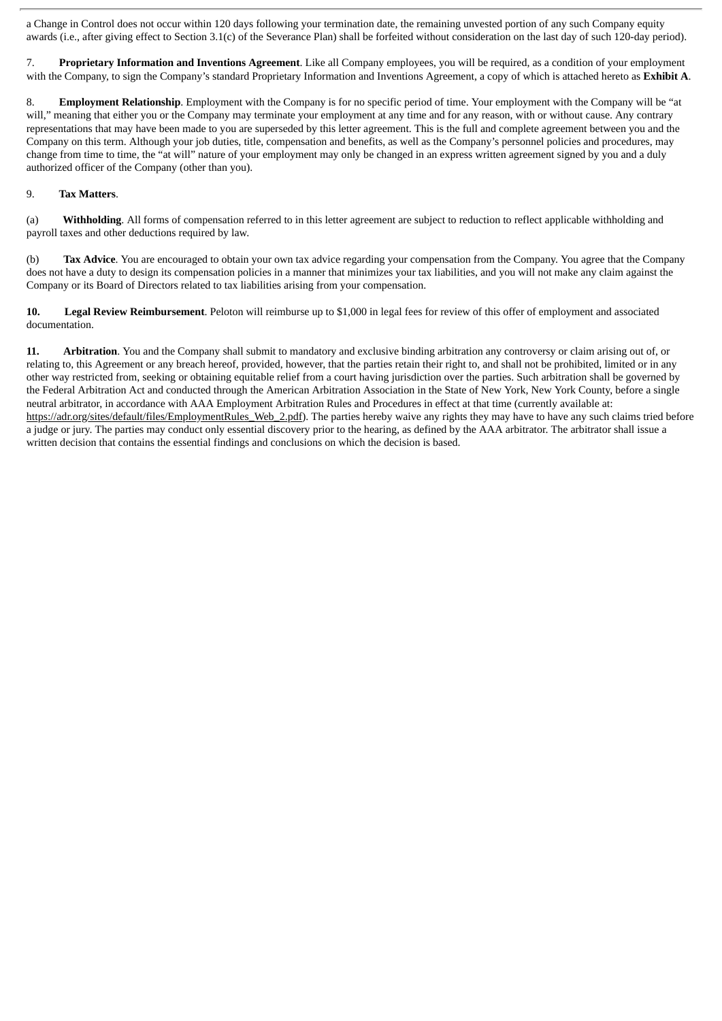a Change in Control does not occur within 120 days following your termination date, the remaining unvested portion of any such Company equity awards (i.e., after giving effect to Section 3.1(c) of the Severance Plan) shall be forfeited without consideration on the last day of such 120-day period).

7. **Proprietary Information and Inventions Agreement**. Like all Company employees, you will be required, as a condition of your employment with the Company, to sign the Company's standard Proprietary Information and Inventions Agreement, a copy of which is attached hereto as **Exhibit A**.

8. **Employment Relationship**. Employment with the Company is for no specific period of time. Your employment with the Company will be "at will," meaning that either you or the Company may terminate your employment at any time and for any reason, with or without cause. Any contrary representations that may have been made to you are superseded by this letter agreement. This is the full and complete agreement between you and the Company on this term. Although your job duties, title, compensation and benefits, as well as the Company's personnel policies and procedures, may change from time to time, the "at will" nature of your employment may only be changed in an express written agreement signed by you and a duly authorized officer of the Company (other than you).

# 9. **Tax Matters**.

(a) **Withholding**. All forms of compensation referred to in this letter agreement are subject to reduction to reflect applicable withholding and payroll taxes and other deductions required by law.

(b) **Tax Advice**. You are encouraged to obtain your own tax advice regarding your compensation from the Company. You agree that the Company does not have a duty to design its compensation policies in a manner that minimizes your tax liabilities, and you will not make any claim against the Company or its Board of Directors related to tax liabilities arising from your compensation.

**10. Legal Review Reimbursement**. Peloton will reimburse up to \$1,000 in legal fees for review of this offer of employment and associated documentation.

**11. Arbitration**. You and the Company shall submit to mandatory and exclusive binding arbitration any controversy or claim arising out of, or relating to, this Agreement or any breach hereof, provided, however, that the parties retain their right to, and shall not be prohibited, limited or in any other way restricted from, seeking or obtaining equitable relief from a court having jurisdiction over the parties. Such arbitration shall be governed by the Federal Arbitration Act and conducted through the American Arbitration Association in the State of New York, New York County, before a single neutral arbitrator, in accordance with AAA Employment Arbitration Rules and Procedures in effect at that time (currently available at: https://adr.org/sites/default/files/EmploymentRules\_Web\_2.pdf). The parties hereby waive any rights they may have to have any such claims tried before a judge or jury. The parties may conduct only essential discovery prior to the hearing, as defined by the AAA arbitrator. The arbitrator shall issue a written decision that contains the essential findings and conclusions on which the decision is based.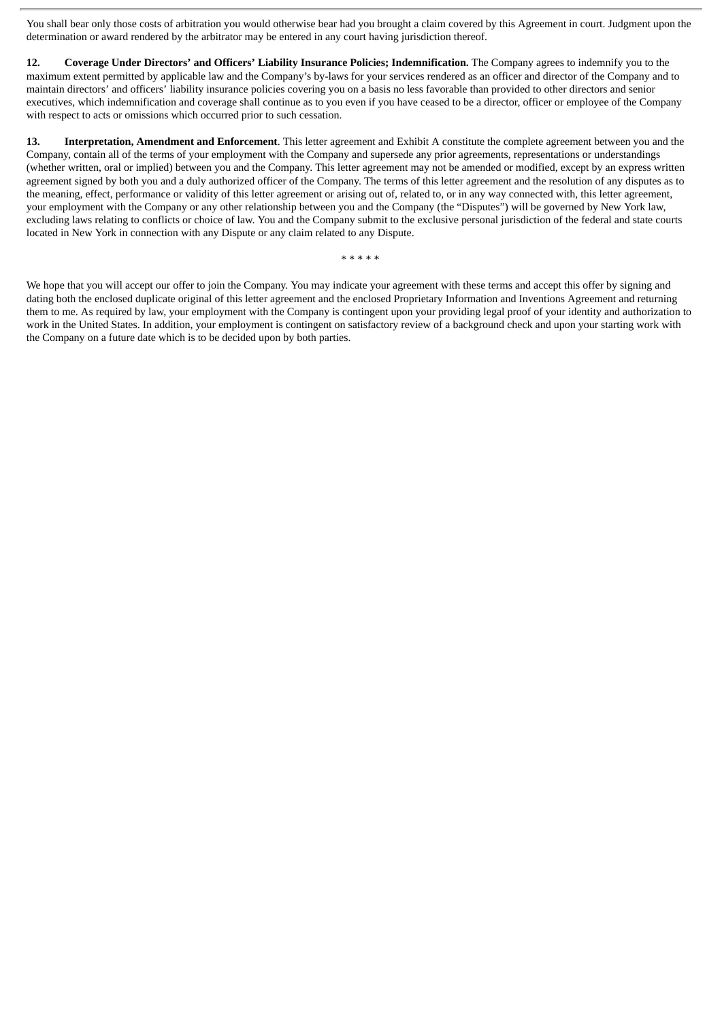You shall bear only those costs of arbitration you would otherwise bear had you brought a claim covered by this Agreement in court. Judgment upon the determination or award rendered by the arbitrator may be entered in any court having jurisdiction thereof.

**12. Coverage Under Directors' and Officers' Liability Insurance Policies; Indemnification.** The Company agrees to indemnify you to the maximum extent permitted by applicable law and the Company's by-laws for your services rendered as an officer and director of the Company and to maintain directors' and officers' liability insurance policies covering you on a basis no less favorable than provided to other directors and senior executives, which indemnification and coverage shall continue as to you even if you have ceased to be a director, officer or employee of the Company with respect to acts or omissions which occurred prior to such cessation.

**13. Interpretation, Amendment and Enforcement**. This letter agreement and Exhibit A constitute the complete agreement between you and the Company, contain all of the terms of your employment with the Company and supersede any prior agreements, representations or understandings (whether written, oral or implied) between you and the Company. This letter agreement may not be amended or modified, except by an express written agreement signed by both you and a duly authorized officer of the Company. The terms of this letter agreement and the resolution of any disputes as to the meaning, effect, performance or validity of this letter agreement or arising out of, related to, or in any way connected with, this letter agreement, your employment with the Company or any other relationship between you and the Company (the "Disputes") will be governed by New York law, excluding laws relating to conflicts or choice of law. You and the Company submit to the exclusive personal jurisdiction of the federal and state courts located in New York in connection with any Dispute or any claim related to any Dispute.

\* \* \* \* \*

We hope that you will accept our offer to join the Company. You may indicate your agreement with these terms and accept this offer by signing and dating both the enclosed duplicate original of this letter agreement and the enclosed Proprietary Information and Inventions Agreement and returning them to me. As required by law, your employment with the Company is contingent upon your providing legal proof of your identity and authorization to work in the United States. In addition, your employment is contingent on satisfactory review of a background check and upon your starting work with the Company on a future date which is to be decided upon by both parties.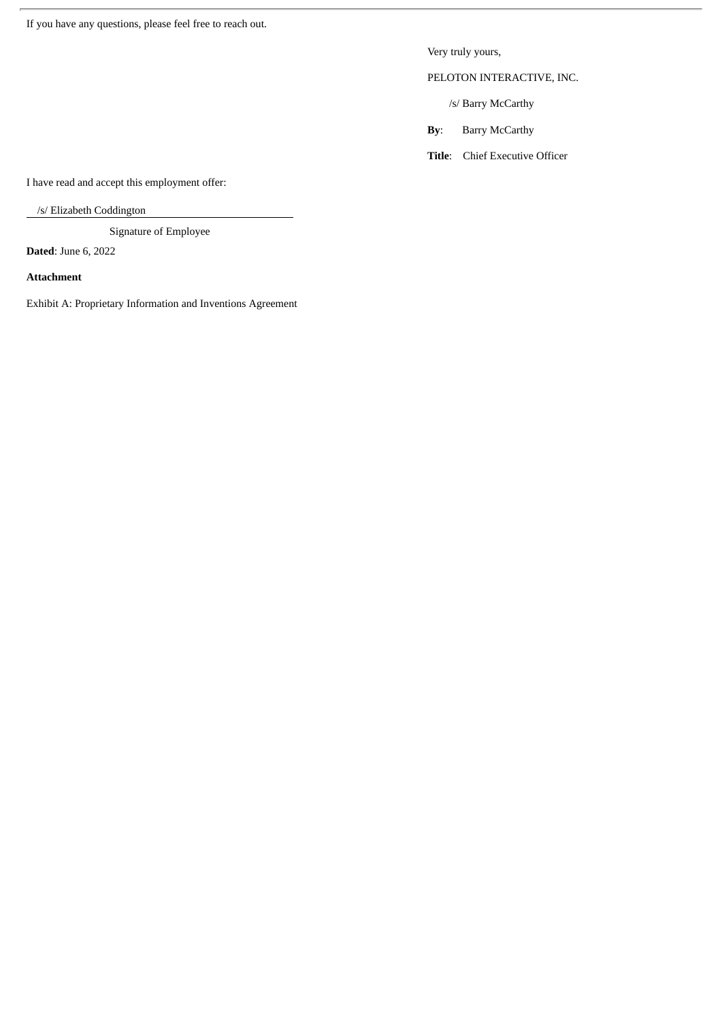If you have any questions, please feel free to reach out.

Very truly yours,

PELOTON INTERACTIVE, INC.

/s/ Barry McCarthy

**By**: Barry McCarthy

**Title**: Chief Executive Officer

I have read and accept this employment offer:

/s/ Elizabeth Coddington

Signature of Employee

**Dated**: June 6, 2022

**Attachment**

Exhibit A: Proprietary Information and Inventions Agreement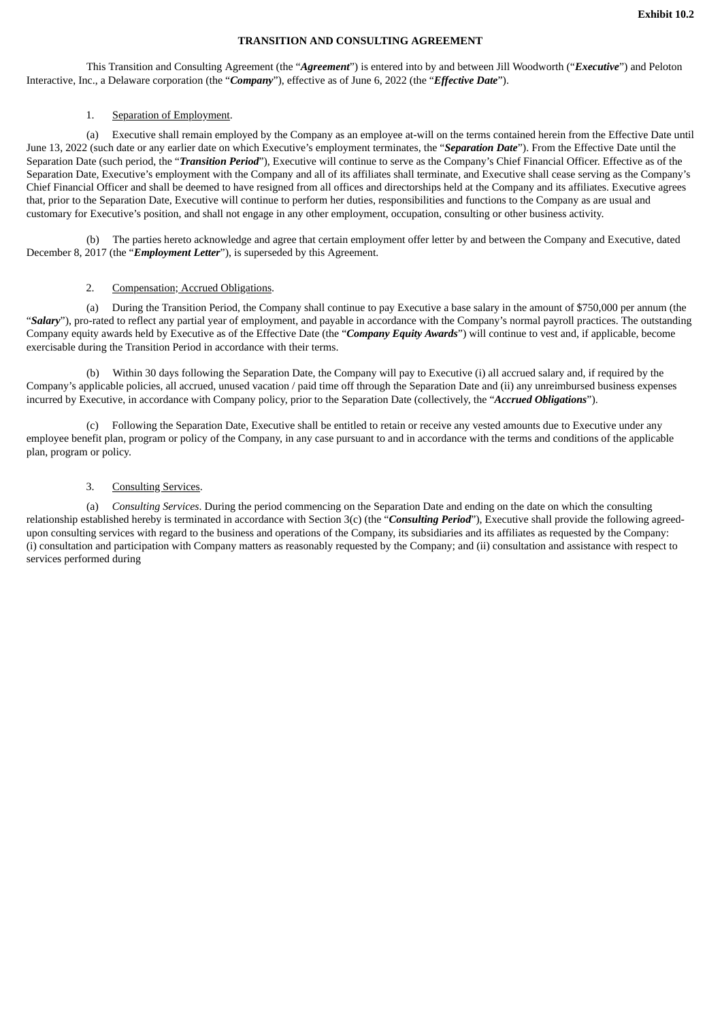#### **TRANSITION AND CONSULTING AGREEMENT**

<span id="page-9-0"></span>This Transition and Consulting Agreement (the "*Agreement*") is entered into by and between Jill Woodworth ("*Executive*") and Peloton Interactive, Inc., a Delaware corporation (the "*Company*"), effective as of June 6, 2022 (the "*Effective Date*").

# 1. Separation of Employment.

(a) Executive shall remain employed by the Company as an employee at-will on the terms contained herein from the Effective Date until June 13, 2022 (such date or any earlier date on which Executive's employment terminates, the "*Separation Date*"). From the Effective Date until the Separation Date (such period, the "*Transition Period*"), Executive will continue to serve as the Company's Chief Financial Officer. Effective as of the Separation Date, Executive's employment with the Company and all of its affiliates shall terminate, and Executive shall cease serving as the Company's Chief Financial Officer and shall be deemed to have resigned from all offices and directorships held at the Company and its affiliates. Executive agrees that, prior to the Separation Date, Executive will continue to perform her duties, responsibilities and functions to the Company as are usual and customary for Executive's position, and shall not engage in any other employment, occupation, consulting or other business activity.

(b) The parties hereto acknowledge and agree that certain employment offer letter by and between the Company and Executive, dated December 8, 2017 (the "*Employment Letter*"), is superseded by this Agreement.

# 2. Compensation; Accrued Obligations.

(a) During the Transition Period, the Company shall continue to pay Executive a base salary in the amount of \$750,000 per annum (the "*Salary*"), pro-rated to reflect any partial year of employment, and payable in accordance with the Company's normal payroll practices. The outstanding Company equity awards held by Executive as of the Effective Date (the "*Company Equity Awards*") will continue to vest and, if applicable, become exercisable during the Transition Period in accordance with their terms.

(b) Within 30 days following the Separation Date, the Company will pay to Executive (i) all accrued salary and, if required by the Company's applicable policies, all accrued, unused vacation / paid time off through the Separation Date and (ii) any unreimbursed business expenses incurred by Executive, in accordance with Company policy, prior to the Separation Date (collectively, the "*Accrued Obligations*").

(c) Following the Separation Date, Executive shall be entitled to retain or receive any vested amounts due to Executive under any employee benefit plan, program or policy of the Company, in any case pursuant to and in accordance with the terms and conditions of the applicable plan, program or policy.

# 3. Consulting Services.

(a) *Consulting Services*. During the period commencing on the Separation Date and ending on the date on which the consulting relationship established hereby is terminated in accordance with Section 3(c) (the "*Consulting Period*"), Executive shall provide the following agreedupon consulting services with regard to the business and operations of the Company, its subsidiaries and its affiliates as requested by the Company: (i) consultation and participation with Company matters as reasonably requested by the Company; and (ii) consultation and assistance with respect to services performed during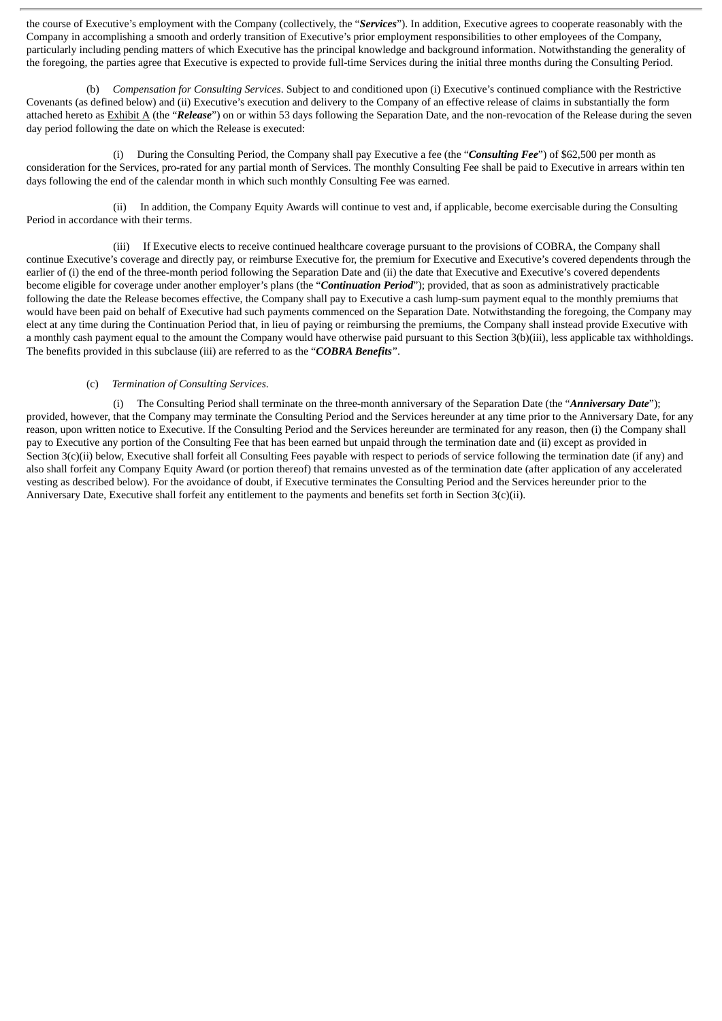the course of Executive's employment with the Company (collectively, the "*Services*"). In addition, Executive agrees to cooperate reasonably with the Company in accomplishing a smooth and orderly transition of Executive's prior employment responsibilities to other employees of the Company, particularly including pending matters of which Executive has the principal knowledge and background information. Notwithstanding the generality of the foregoing, the parties agree that Executive is expected to provide full-time Services during the initial three months during the Consulting Period.

(b) *Compensation for Consulting Services*. Subject to and conditioned upon (i) Executive's continued compliance with the Restrictive Covenants (as defined below) and (ii) Executive's execution and delivery to the Company of an effective release of claims in substantially the form attached hereto as Exhibit A (the "*Release*") on or within 53 days following the Separation Date, and the non-revocation of the Release during the seven day period following the date on which the Release is executed:

(i) During the Consulting Period, the Company shall pay Executive a fee (the "*Consulting Fee*") of \$62,500 per month as consideration for the Services, pro-rated for any partial month of Services. The monthly Consulting Fee shall be paid to Executive in arrears within ten days following the end of the calendar month in which such monthly Consulting Fee was earned.

(ii) In addition, the Company Equity Awards will continue to vest and, if applicable, become exercisable during the Consulting Period in accordance with their terms.

(iii) If Executive elects to receive continued healthcare coverage pursuant to the provisions of COBRA, the Company shall continue Executive's coverage and directly pay, or reimburse Executive for, the premium for Executive and Executive's covered dependents through the earlier of (i) the end of the three-month period following the Separation Date and (ii) the date that Executive and Executive's covered dependents become eligible for coverage under another employer's plans (the "*Continuation Period*"); provided, that as soon as administratively practicable following the date the Release becomes effective, the Company shall pay to Executive a cash lump-sum payment equal to the monthly premiums that would have been paid on behalf of Executive had such payments commenced on the Separation Date. Notwithstanding the foregoing, the Company may elect at any time during the Continuation Period that, in lieu of paying or reimbursing the premiums, the Company shall instead provide Executive with a monthly cash payment equal to the amount the Company would have otherwise paid pursuant to this Section 3(b)(iii), less applicable tax withholdings. The benefits provided in this subclause (iii) are referred to as the "*COBRA Benefits*".

# (c) *Termination of Consulting Services*.

(i) The Consulting Period shall terminate on the three-month anniversary of the Separation Date (the "*Anniversary Date*"); provided, however, that the Company may terminate the Consulting Period and the Services hereunder at any time prior to the Anniversary Date, for any reason, upon written notice to Executive. If the Consulting Period and the Services hereunder are terminated for any reason, then (i) the Company shall pay to Executive any portion of the Consulting Fee that has been earned but unpaid through the termination date and (ii) except as provided in Section 3(c)(ii) below, Executive shall forfeit all Consulting Fees payable with respect to periods of service following the termination date (if any) and also shall forfeit any Company Equity Award (or portion thereof) that remains unvested as of the termination date (after application of any accelerated vesting as described below). For the avoidance of doubt, if Executive terminates the Consulting Period and the Services hereunder prior to the Anniversary Date, Executive shall forfeit any entitlement to the payments and benefits set forth in Section 3(c)(ii).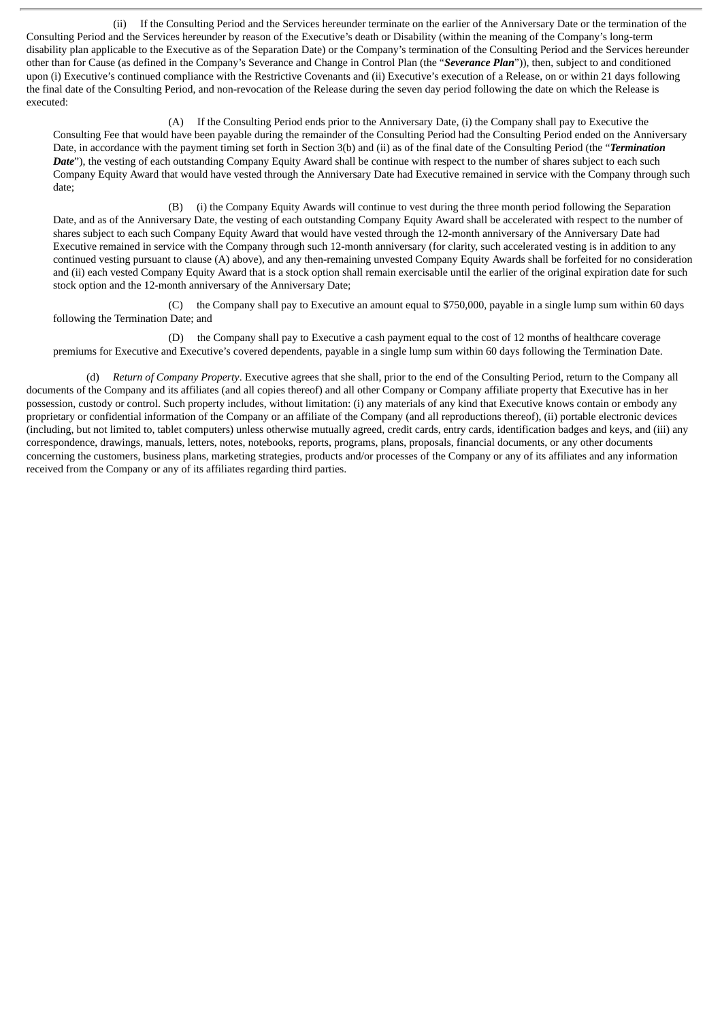(ii) If the Consulting Period and the Services hereunder terminate on the earlier of the Anniversary Date or the termination of the Consulting Period and the Services hereunder by reason of the Executive's death or Disability (within the meaning of the Company's long-term disability plan applicable to the Executive as of the Separation Date) or the Company's termination of the Consulting Period and the Services hereunder other than for Cause (as defined in the Company's Severance and Change in Control Plan (the "*Severance Plan*")), then, subject to and conditioned upon (i) Executive's continued compliance with the Restrictive Covenants and (ii) Executive's execution of a Release, on or within 21 days following the final date of the Consulting Period, and non-revocation of the Release during the seven day period following the date on which the Release is executed:

(A) If the Consulting Period ends prior to the Anniversary Date, (i) the Company shall pay to Executive the Consulting Fee that would have been payable during the remainder of the Consulting Period had the Consulting Period ended on the Anniversary Date, in accordance with the payment timing set forth in Section 3(b) and (ii) as of the final date of the Consulting Period (the "*Termination Date*"), the vesting of each outstanding Company Equity Award shall be continue with respect to the number of shares subject to each such Company Equity Award that would have vested through the Anniversary Date had Executive remained in service with the Company through such date;

(B) (i) the Company Equity Awards will continue to vest during the three month period following the Separation Date, and as of the Anniversary Date, the vesting of each outstanding Company Equity Award shall be accelerated with respect to the number of shares subject to each such Company Equity Award that would have vested through the 12-month anniversary of the Anniversary Date had Executive remained in service with the Company through such 12-month anniversary (for clarity, such accelerated vesting is in addition to any continued vesting pursuant to clause (A) above), and any then-remaining unvested Company Equity Awards shall be forfeited for no consideration and (ii) each vested Company Equity Award that is a stock option shall remain exercisable until the earlier of the original expiration date for such stock option and the 12-month anniversary of the Anniversary Date;

(C) the Company shall pay to Executive an amount equal to \$750,000, payable in a single lump sum within 60 days following the Termination Date; and

(D) the Company shall pay to Executive a cash payment equal to the cost of 12 months of healthcare coverage premiums for Executive and Executive's covered dependents, payable in a single lump sum within 60 days following the Termination Date.

(d) *Return of Company Property*. Executive agrees that she shall, prior to the end of the Consulting Period, return to the Company all documents of the Company and its affiliates (and all copies thereof) and all other Company or Company affiliate property that Executive has in her possession, custody or control. Such property includes, without limitation: (i) any materials of any kind that Executive knows contain or embody any proprietary or confidential information of the Company or an affiliate of the Company (and all reproductions thereof), (ii) portable electronic devices (including, but not limited to, tablet computers) unless otherwise mutually agreed, credit cards, entry cards, identification badges and keys, and (iii) any correspondence, drawings, manuals, letters, notes, notebooks, reports, programs, plans, proposals, financial documents, or any other documents concerning the customers, business plans, marketing strategies, products and/or processes of the Company or any of its affiliates and any information received from the Company or any of its affiliates regarding third parties.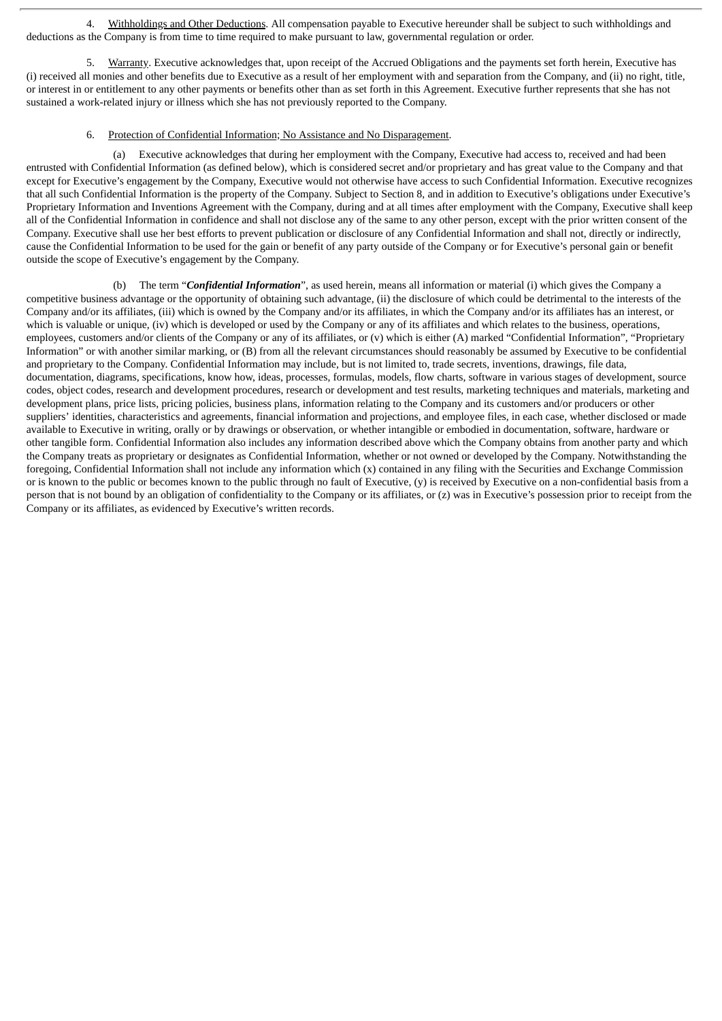4. Withholdings and Other Deductions. All compensation payable to Executive hereunder shall be subject to such withholdings and deductions as the Company is from time to time required to make pursuant to law, governmental regulation or order.

5. Warranty. Executive acknowledges that, upon receipt of the Accrued Obligations and the payments set forth herein, Executive has (i) received all monies and other benefits due to Executive as a result of her employment with and separation from the Company, and (ii) no right, title, or interest in or entitlement to any other payments or benefits other than as set forth in this Agreement. Executive further represents that she has not sustained a work-related injury or illness which she has not previously reported to the Company.

# 6. Protection of Confidential Information; No Assistance and No Disparagement.

(a) Executive acknowledges that during her employment with the Company, Executive had access to, received and had been entrusted with Confidential Information (as defined below), which is considered secret and/or proprietary and has great value to the Company and that except for Executive's engagement by the Company, Executive would not otherwise have access to such Confidential Information. Executive recognizes that all such Confidential Information is the property of the Company. Subject to Section 8, and in addition to Executive's obligations under Executive's Proprietary Information and Inventions Agreement with the Company, during and at all times after employment with the Company, Executive shall keep all of the Confidential Information in confidence and shall not disclose any of the same to any other person, except with the prior written consent of the Company. Executive shall use her best efforts to prevent publication or disclosure of any Confidential Information and shall not, directly or indirectly, cause the Confidential Information to be used for the gain or benefit of any party outside of the Company or for Executive's personal gain or benefit outside the scope of Executive's engagement by the Company.

(b) The term "*Confidential Information*", as used herein, means all information or material (i) which gives the Company a competitive business advantage or the opportunity of obtaining such advantage, (ii) the disclosure of which could be detrimental to the interests of the Company and/or its affiliates, (iii) which is owned by the Company and/or its affiliates, in which the Company and/or its affiliates has an interest, or which is valuable or unique, (iv) which is developed or used by the Company or any of its affiliates and which relates to the business, operations, employees, customers and/or clients of the Company or any of its affiliates, or (v) which is either (A) marked "Confidential Information", "Proprietary Information" or with another similar marking, or (B) from all the relevant circumstances should reasonably be assumed by Executive to be confidential and proprietary to the Company. Confidential Information may include, but is not limited to, trade secrets, inventions, drawings, file data, documentation, diagrams, specifications, know how, ideas, processes, formulas, models, flow charts, software in various stages of development, source codes, object codes, research and development procedures, research or development and test results, marketing techniques and materials, marketing and development plans, price lists, pricing policies, business plans, information relating to the Company and its customers and/or producers or other suppliers' identities, characteristics and agreements, financial information and projections, and employee files, in each case, whether disclosed or made available to Executive in writing, orally or by drawings or observation, or whether intangible or embodied in documentation, software, hardware or other tangible form. Confidential Information also includes any information described above which the Company obtains from another party and which the Company treats as proprietary or designates as Confidential Information, whether or not owned or developed by the Company. Notwithstanding the foregoing, Confidential Information shall not include any information which (x) contained in any filing with the Securities and Exchange Commission or is known to the public or becomes known to the public through no fault of Executive, (y) is received by Executive on a non-confidential basis from a person that is not bound by an obligation of confidentiality to the Company or its affiliates, or (z) was in Executive's possession prior to receipt from the Company or its affiliates, as evidenced by Executive's written records.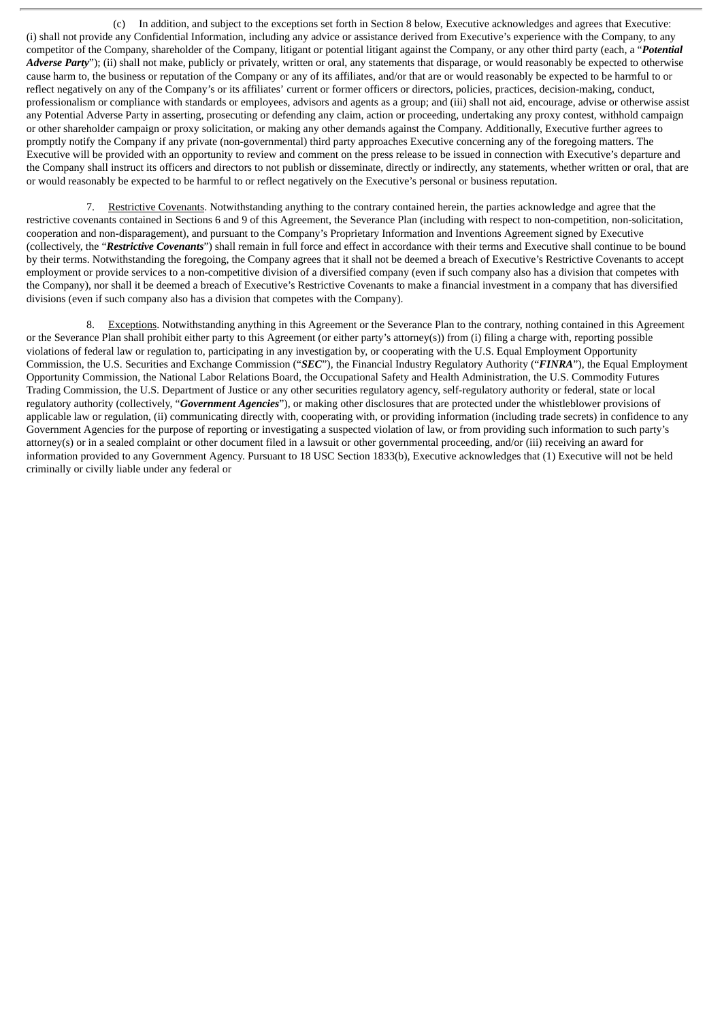(c) In addition, and subject to the exceptions set forth in Section 8 below, Executive acknowledges and agrees that Executive: (i) shall not provide any Confidential Information, including any advice or assistance derived from Executive's experience with the Company, to any competitor of the Company, shareholder of the Company, litigant or potential litigant against the Company, or any other third party (each, a "*Potential Adverse Party*"); (ii) shall not make, publicly or privately, written or oral, any statements that disparage, or would reasonably be expected to otherwise cause harm to, the business or reputation of the Company or any of its affiliates, and/or that are or would reasonably be expected to be harmful to or reflect negatively on any of the Company's or its affiliates' current or former officers or directors, policies, practices, decision-making, conduct, professionalism or compliance with standards or employees, advisors and agents as a group; and (iii) shall not aid, encourage, advise or otherwise assist any Potential Adverse Party in asserting, prosecuting or defending any claim, action or proceeding, undertaking any proxy contest, withhold campaign or other shareholder campaign or proxy solicitation, or making any other demands against the Company. Additionally, Executive further agrees to promptly notify the Company if any private (non-governmental) third party approaches Executive concerning any of the foregoing matters. The Executive will be provided with an opportunity to review and comment on the press release to be issued in connection with Executive's departure and the Company shall instruct its officers and directors to not publish or disseminate, directly or indirectly, any statements, whether written or oral, that are or would reasonably be expected to be harmful to or reflect negatively on the Executive's personal or business reputation.

7. Restrictive Covenants. Notwithstanding anything to the contrary contained herein, the parties acknowledge and agree that the restrictive covenants contained in Sections 6 and 9 of this Agreement, the Severance Plan (including with respect to non-competition, non-solicitation, cooperation and non-disparagement), and pursuant to the Company's Proprietary Information and Inventions Agreement signed by Executive (collectively, the "*Restrictive Covenants*") shall remain in full force and effect in accordance with their terms and Executive shall continue to be bound by their terms. Notwithstanding the foregoing, the Company agrees that it shall not be deemed a breach of Executive's Restrictive Covenants to accept employment or provide services to a non-competitive division of a diversified company (even if such company also has a division that competes with the Company), nor shall it be deemed a breach of Executive's Restrictive Covenants to make a financial investment in a company that has diversified divisions (even if such company also has a division that competes with the Company).

8. Exceptions. Notwithstanding anything in this Agreement or the Severance Plan to the contrary, nothing contained in this Agreement or the Severance Plan shall prohibit either party to this Agreement (or either party's attorney(s)) from (i) filing a charge with, reporting possible violations of federal law or regulation to, participating in any investigation by, or cooperating with the U.S. Equal Employment Opportunity Commission, the U.S. Securities and Exchange Commission ("*SEC*"), the Financial Industry Regulatory Authority ("*FINRA*"), the Equal Employment Opportunity Commission, the National Labor Relations Board, the Occupational Safety and Health Administration, the U.S. Commodity Futures Trading Commission, the U.S. Department of Justice or any other securities regulatory agency, self-regulatory authority or federal, state or local regulatory authority (collectively, "*Government Agencies*"), or making other disclosures that are protected under the whistleblower provisions of applicable law or regulation, (ii) communicating directly with, cooperating with, or providing information (including trade secrets) in confidence to any Government Agencies for the purpose of reporting or investigating a suspected violation of law, or from providing such information to such party's attorney(s) or in a sealed complaint or other document filed in a lawsuit or other governmental proceeding, and/or (iii) receiving an award for information provided to any Government Agency. Pursuant to 18 USC Section 1833(b), Executive acknowledges that (1) Executive will not be held criminally or civilly liable under any federal or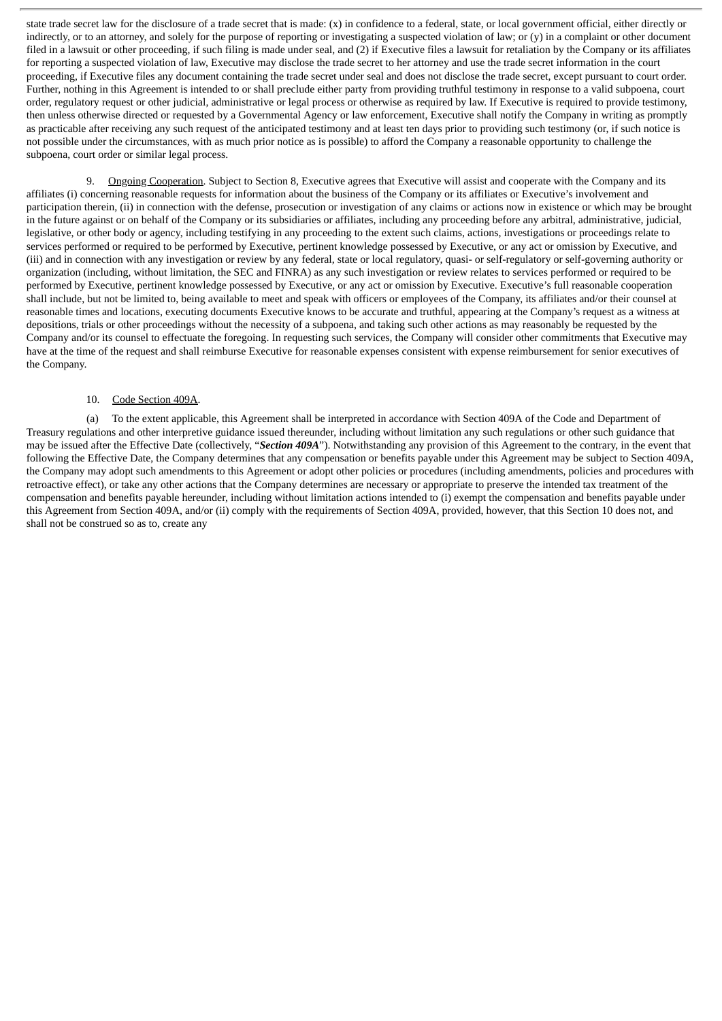state trade secret law for the disclosure of a trade secret that is made: (x) in confidence to a federal, state, or local government official, either directly or indirectly, or to an attorney, and solely for the purpose of reporting or investigating a suspected violation of law; or (y) in a complaint or other document filed in a lawsuit or other proceeding, if such filing is made under seal, and (2) if Executive files a lawsuit for retaliation by the Company or its affiliates for reporting a suspected violation of law, Executive may disclose the trade secret to her attorney and use the trade secret information in the court proceeding, if Executive files any document containing the trade secret under seal and does not disclose the trade secret, except pursuant to court order. Further, nothing in this Agreement is intended to or shall preclude either party from providing truthful testimony in response to a valid subpoena, court order, regulatory request or other judicial, administrative or legal process or otherwise as required by law. If Executive is required to provide testimony, then unless otherwise directed or requested by a Governmental Agency or law enforcement, Executive shall notify the Company in writing as promptly as practicable after receiving any such request of the anticipated testimony and at least ten days prior to providing such testimony (or, if such notice is not possible under the circumstances, with as much prior notice as is possible) to afford the Company a reasonable opportunity to challenge the subpoena, court order or similar legal process.

9. Ongoing Cooperation. Subject to Section 8, Executive agrees that Executive will assist and cooperate with the Company and its affiliates (i) concerning reasonable requests for information about the business of the Company or its affiliates or Executive's involvement and participation therein, (ii) in connection with the defense, prosecution or investigation of any claims or actions now in existence or which may be brought in the future against or on behalf of the Company or its subsidiaries or affiliates, including any proceeding before any arbitral, administrative, judicial, legislative, or other body or agency, including testifying in any proceeding to the extent such claims, actions, investigations or proceedings relate to services performed or required to be performed by Executive, pertinent knowledge possessed by Executive, or any act or omission by Executive, and (iii) and in connection with any investigation or review by any federal, state or local regulatory, quasi- or self-regulatory or self-governing authority or organization (including, without limitation, the SEC and FINRA) as any such investigation or review relates to services performed or required to be performed by Executive, pertinent knowledge possessed by Executive, or any act or omission by Executive. Executive's full reasonable cooperation shall include, but not be limited to, being available to meet and speak with officers or employees of the Company, its affiliates and/or their counsel at reasonable times and locations, executing documents Executive knows to be accurate and truthful, appearing at the Company's request as a witness at depositions, trials or other proceedings without the necessity of a subpoena, and taking such other actions as may reasonably be requested by the Company and/or its counsel to effectuate the foregoing. In requesting such services, the Company will consider other commitments that Executive may have at the time of the request and shall reimburse Executive for reasonable expenses consistent with expense reimbursement for senior executives of the Company.

# 10. Code Section 409A.

(a) To the extent applicable, this Agreement shall be interpreted in accordance with Section 409A of the Code and Department of Treasury regulations and other interpretive guidance issued thereunder, including without limitation any such regulations or other such guidance that may be issued after the Effective Date (collectively, "*Section 409A*"). Notwithstanding any provision of this Agreement to the contrary, in the event that following the Effective Date, the Company determines that any compensation or benefits payable under this Agreement may be subject to Section 409A, the Company may adopt such amendments to this Agreement or adopt other policies or procedures (including amendments, policies and procedures with retroactive effect), or take any other actions that the Company determines are necessary or appropriate to preserve the intended tax treatment of the compensation and benefits payable hereunder, including without limitation actions intended to (i) exempt the compensation and benefits payable under this Agreement from Section 409A, and/or (ii) comply with the requirements of Section 409A, provided, however, that this Section 10 does not, and shall not be construed so as to, create any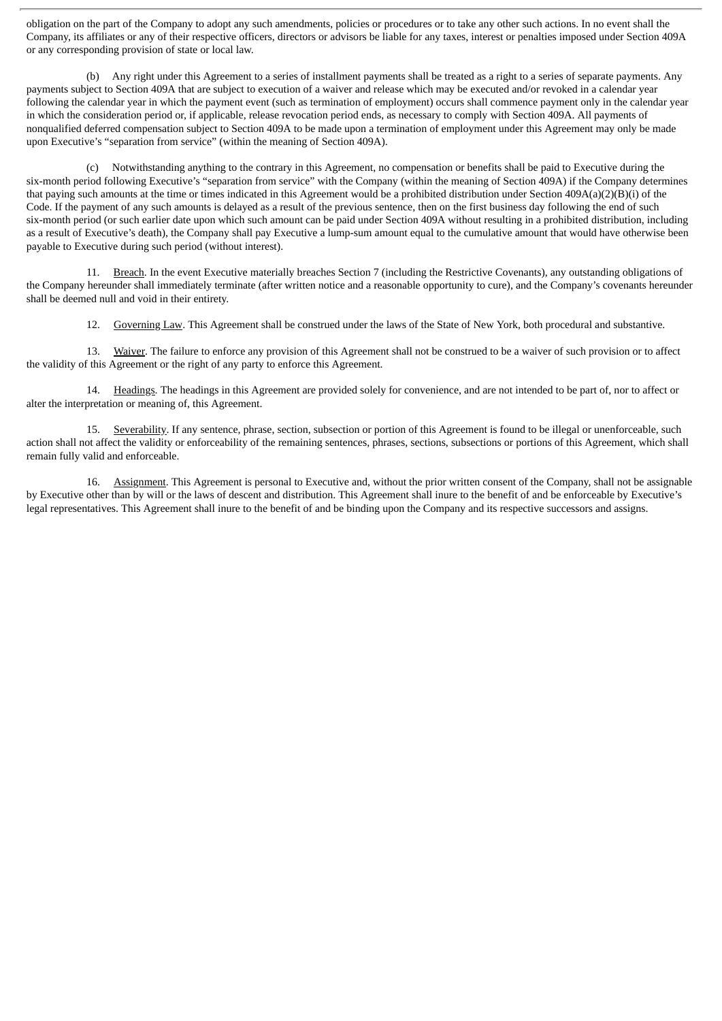obligation on the part of the Company to adopt any such amendments, policies or procedures or to take any other such actions. In no event shall the Company, its affiliates or any of their respective officers, directors or advisors be liable for any taxes, interest or penalties imposed under Section 409A or any corresponding provision of state or local law.

(b) Any right under this Agreement to a series of installment payments shall be treated as a right to a series of separate payments. Any payments subject to Section 409A that are subject to execution of a waiver and release which may be executed and/or revoked in a calendar year following the calendar year in which the payment event (such as termination of employment) occurs shall commence payment only in the calendar year in which the consideration period or, if applicable, release revocation period ends, as necessary to comply with Section 409A. All payments of nonqualified deferred compensation subject to Section 409A to be made upon a termination of employment under this Agreement may only be made upon Executive's "separation from service" (within the meaning of Section 409A).

(c) Notwithstanding anything to the contrary in this Agreement, no compensation or benefits shall be paid to Executive during the six-month period following Executive's "separation from service" with the Company (within the meaning of Section 409A) if the Company determines that paying such amounts at the time or times indicated in this Agreement would be a prohibited distribution under Section 409A(a)(2)(B)(i) of the Code. If the payment of any such amounts is delayed as a result of the previous sentence, then on the first business day following the end of such six-month period (or such earlier date upon which such amount can be paid under Section 409A without resulting in a prohibited distribution, including as a result of Executive's death), the Company shall pay Executive a lump-sum amount equal to the cumulative amount that would have otherwise been payable to Executive during such period (without interest).

11. Breach. In the event Executive materially breaches Section 7 (including the Restrictive Covenants), any outstanding obligations of the Company hereunder shall immediately terminate (after written notice and a reasonable opportunity to cure), and the Company's covenants hereunder shall be deemed null and void in their entirety.

12. Governing Law. This Agreement shall be construed under the laws of the State of New York, both procedural and substantive.

13. Waiver. The failure to enforce any provision of this Agreement shall not be construed to be a waiver of such provision or to affect the validity of this Agreement or the right of any party to enforce this Agreement.

14. Headings. The headings in this Agreement are provided solely for convenience, and are not intended to be part of, nor to affect or alter the interpretation or meaning of, this Agreement.

15. Severability. If any sentence, phrase, section, subsection or portion of this Agreement is found to be illegal or unenforceable, such action shall not affect the validity or enforceability of the remaining sentences, phrases, sections, subsections or portions of this Agreement, which shall remain fully valid and enforceable.

16. Assignment. This Agreement is personal to Executive and, without the prior written consent of the Company, shall not be assignable by Executive other than by will or the laws of descent and distribution. This Agreement shall inure to the benefit of and be enforceable by Executive's legal representatives. This Agreement shall inure to the benefit of and be binding upon the Company and its respective successors and assigns.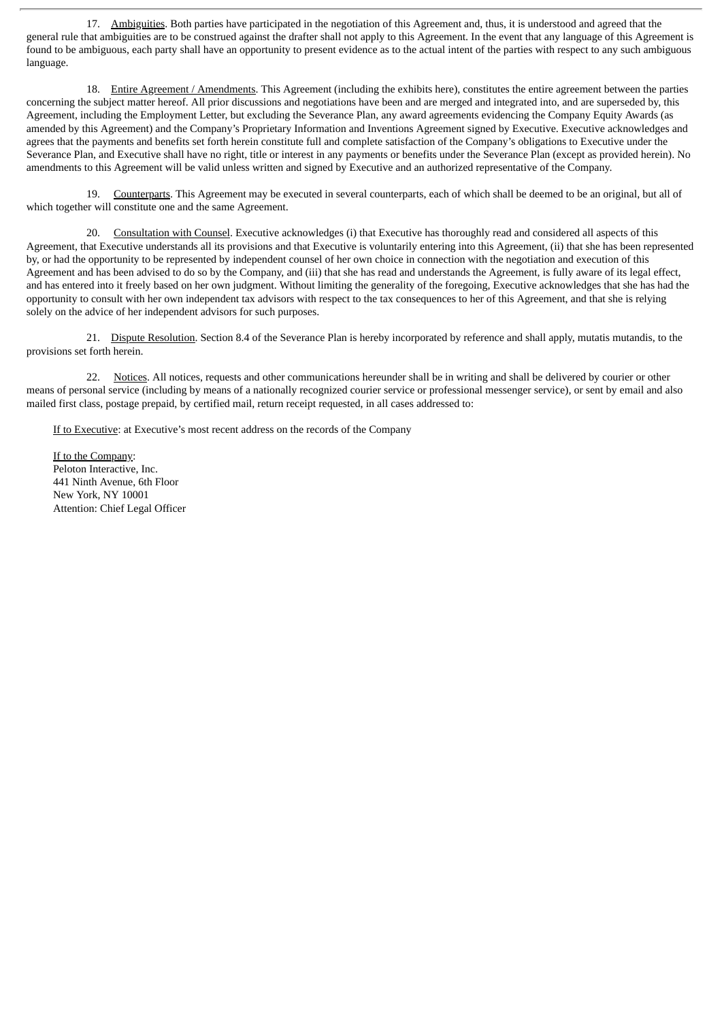17. Ambiguities. Both parties have participated in the negotiation of this Agreement and, thus, it is understood and agreed that the general rule that ambiguities are to be construed against the drafter shall not apply to this Agreement. In the event that any language of this Agreement is found to be ambiguous, each party shall have an opportunity to present evidence as to the actual intent of the parties with respect to any such ambiguous language.

18. Entire Agreement / Amendments. This Agreement (including the exhibits here), constitutes the entire agreement between the parties concerning the subject matter hereof. All prior discussions and negotiations have been and are merged and integrated into, and are superseded by, this Agreement, including the Employment Letter, but excluding the Severance Plan, any award agreements evidencing the Company Equity Awards (as amended by this Agreement) and the Company's Proprietary Information and Inventions Agreement signed by Executive. Executive acknowledges and agrees that the payments and benefits set forth herein constitute full and complete satisfaction of the Company's obligations to Executive under the Severance Plan, and Executive shall have no right, title or interest in any payments or benefits under the Severance Plan (except as provided herein). No amendments to this Agreement will be valid unless written and signed by Executive and an authorized representative of the Company.

19. Counterparts. This Agreement may be executed in several counterparts, each of which shall be deemed to be an original, but all of which together will constitute one and the same Agreement.

20. Consultation with Counsel. Executive acknowledges (i) that Executive has thoroughly read and considered all aspects of this Agreement, that Executive understands all its provisions and that Executive is voluntarily entering into this Agreement, (ii) that she has been represented by, or had the opportunity to be represented by independent counsel of her own choice in connection with the negotiation and execution of this Agreement and has been advised to do so by the Company, and (iii) that she has read and understands the Agreement, is fully aware of its legal effect, and has entered into it freely based on her own judgment. Without limiting the generality of the foregoing, Executive acknowledges that she has had the opportunity to consult with her own independent tax advisors with respect to the tax consequences to her of this Agreement, and that she is relying solely on the advice of her independent advisors for such purposes.

21. Dispute Resolution. Section 8.4 of the Severance Plan is hereby incorporated by reference and shall apply, mutatis mutandis, to the provisions set forth herein.

22. Notices. All notices, requests and other communications hereunder shall be in writing and shall be delivered by courier or other means of personal service (including by means of a nationally recognized courier service or professional messenger service), or sent by email and also mailed first class, postage prepaid, by certified mail, return receipt requested, in all cases addressed to:

If to Executive: at Executive's most recent address on the records of the Company

If to the Company: Peloton Interactive, Inc. 441 Ninth Avenue, 6th Floor New York, NY 10001 Attention: Chief Legal Officer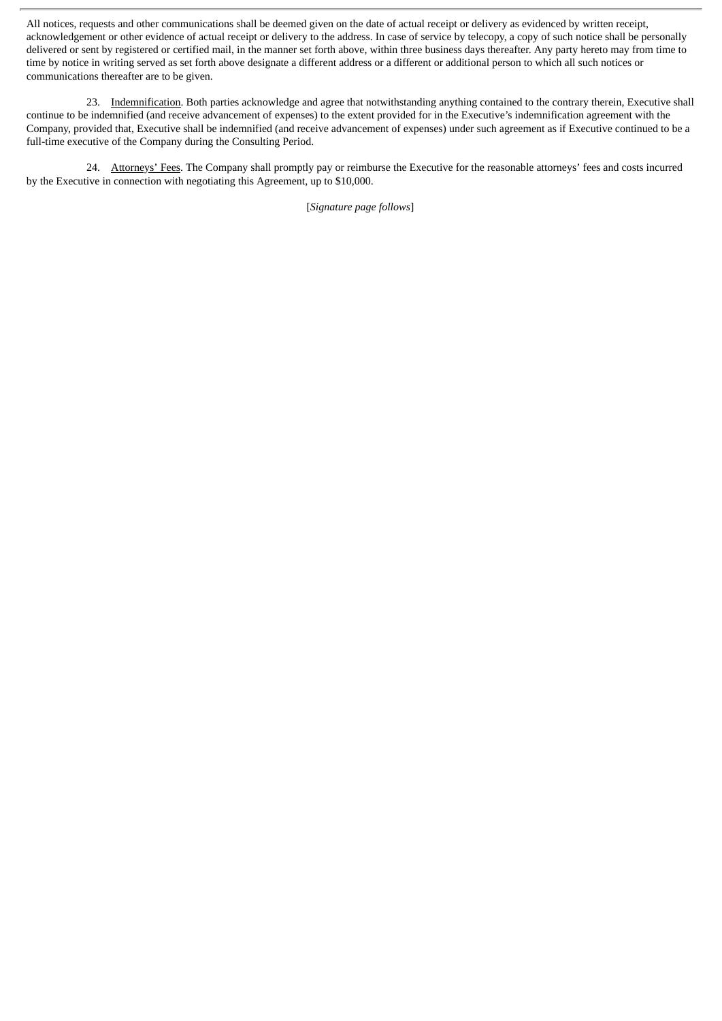All notices, requests and other communications shall be deemed given on the date of actual receipt or delivery as evidenced by written receipt, acknowledgement or other evidence of actual receipt or delivery to the address. In case of service by telecopy, a copy of such notice shall be personally delivered or sent by registered or certified mail, in the manner set forth above, within three business days thereafter. Any party hereto may from time to time by notice in writing served as set forth above designate a different address or a different or additional person to which all such notices or communications thereafter are to be given.

23. Indemnification. Both parties acknowledge and agree that notwithstanding anything contained to the contrary therein, Executive shall continue to be indemnified (and receive advancement of expenses) to the extent provided for in the Executive's indemnification agreement with the Company, provided that, Executive shall be indemnified (and receive advancement of expenses) under such agreement as if Executive continued to be a full-time executive of the Company during the Consulting Period.

24. Attorneys' Fees. The Company shall promptly pay or reimburse the Executive for the reasonable attorneys' fees and costs incurred by the Executive in connection with negotiating this Agreement, up to \$10,000.

[*Signature page follows*]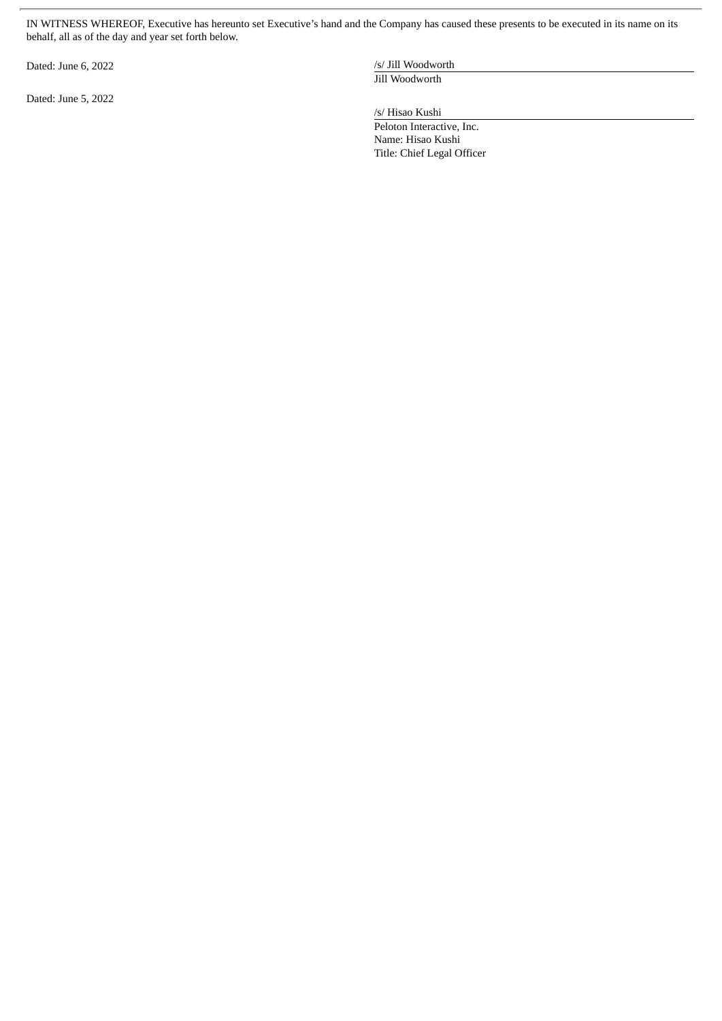IN WITNESS WHEREOF, Executive has hereunto set Executive's hand and the Company has caused these presents to be executed in its name on its behalf, all as of the day and year set forth below.

Dated: June 5, 2022

Dated: June 6, 2022 /s/ Jill Woodworth Jill Woodworth

/s/ Hisao Kushi

Peloton Interactive, Inc. Name: Hisao Kushi Title: Chief Legal Officer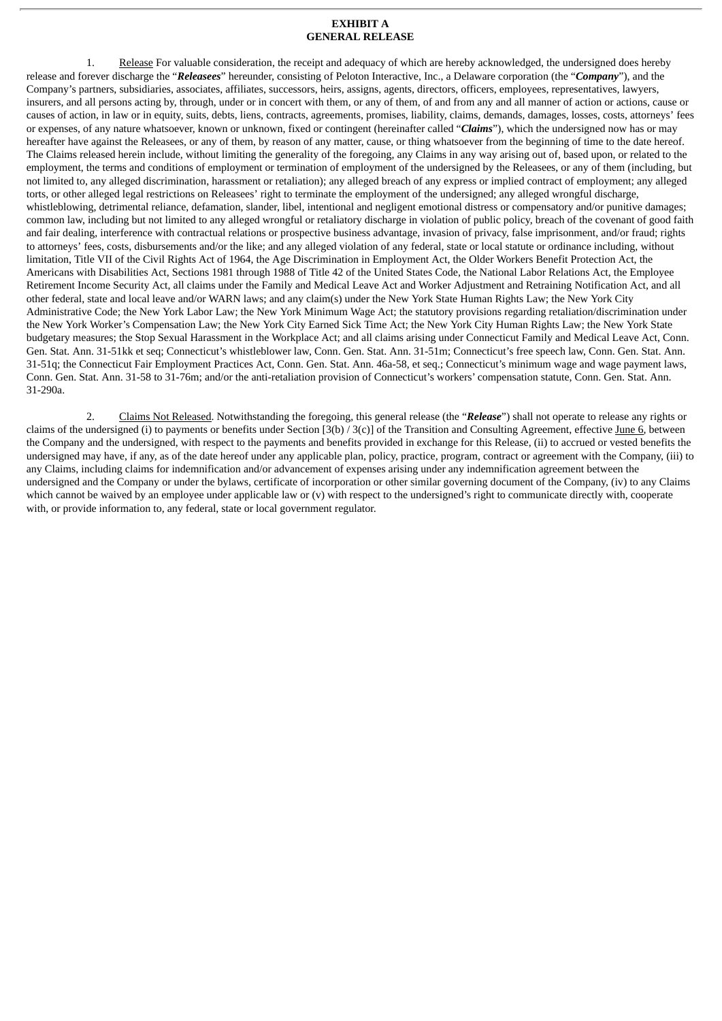#### **EXHIBIT A GENERAL RELEASE**

1. Release For valuable consideration, the receipt and adequacy of which are hereby acknowledged, the undersigned does hereby release and forever discharge the "*Releasees*" hereunder, consisting of Peloton Interactive, Inc., a Delaware corporation (the "*Company*"), and the Company's partners, subsidiaries, associates, affiliates, successors, heirs, assigns, agents, directors, officers, employees, representatives, lawyers, insurers, and all persons acting by, through, under or in concert with them, or any of them, of and from any and all manner of action or actions, cause or causes of action, in law or in equity, suits, debts, liens, contracts, agreements, promises, liability, claims, demands, damages, losses, costs, attorneys' fees or expenses, of any nature whatsoever, known or unknown, fixed or contingent (hereinafter called "*Claims*"), which the undersigned now has or may hereafter have against the Releasees, or any of them, by reason of any matter, cause, or thing whatsoever from the beginning of time to the date hereof. The Claims released herein include, without limiting the generality of the foregoing, any Claims in any way arising out of, based upon, or related to the employment, the terms and conditions of employment or termination of employment of the undersigned by the Releasees, or any of them (including, but not limited to, any alleged discrimination, harassment or retaliation); any alleged breach of any express or implied contract of employment; any alleged torts, or other alleged legal restrictions on Releasees' right to terminate the employment of the undersigned; any alleged wrongful discharge, whistleblowing, detrimental reliance, defamation, slander, libel, intentional and negligent emotional distress or compensatory and/or punitive damages; common law, including but not limited to any alleged wrongful or retaliatory discharge in violation of public policy, breach of the covenant of good faith and fair dealing, interference with contractual relations or prospective business advantage, invasion of privacy, false imprisonment, and/or fraud; rights to attorneys' fees, costs, disbursements and/or the like; and any alleged violation of any federal, state or local statute or ordinance including, without limitation, Title VII of the Civil Rights Act of 1964, the Age Discrimination in Employment Act, the Older Workers Benefit Protection Act, the Americans with Disabilities Act, Sections 1981 through 1988 of Title 42 of the United States Code, the National Labor Relations Act, the Employee Retirement Income Security Act, all claims under the Family and Medical Leave Act and Worker Adjustment and Retraining Notification Act, and all other federal, state and local leave and/or WARN laws; and any claim(s) under the New York State Human Rights Law; the New York City Administrative Code; the New York Labor Law; the New York Minimum Wage Act; the statutory provisions regarding retaliation/discrimination under the New York Worker's Compensation Law; the New York City Earned Sick Time Act; the New York City Human Rights Law; the New York State budgetary measures; the Stop Sexual Harassment in the Workplace Act; and all claims arising under Connecticut Family and Medical Leave Act, Conn. Gen. Stat. Ann. 31-51kk et seq; Connecticut's whistleblower law, Conn. Gen. Stat. Ann. 31-51m; Connecticut's free speech law, Conn. Gen. Stat. Ann. 31-51q; the Connecticut Fair Employment Practices Act, Conn. Gen. Stat. Ann. 46a-58, et seq.; Connecticut's minimum wage and wage payment laws, Conn. Gen. Stat. Ann. 31-58 to 31-76m; and/or the anti-retaliation provision of Connecticut's workers' compensation statute, Conn. Gen. Stat. Ann. 31-290a.

2. Claims Not Released. Notwithstanding the foregoing, this general release (the "*Release*") shall not operate to release any rights or claims of the undersigned (i) to payments or benefits under Section [3(b) / 3(c)] of the Transition and Consulting Agreement, effective June 6, between the Company and the undersigned, with respect to the payments and benefits provided in exchange for this Release, (ii) to accrued or vested benefits the undersigned may have, if any, as of the date hereof under any applicable plan, policy, practice, program, contract or agreement with the Company, (iii) to any Claims, including claims for indemnification and/or advancement of expenses arising under any indemnification agreement between the undersigned and the Company or under the bylaws, certificate of incorporation or other similar governing document of the Company, (iv) to any Claims which cannot be waived by an employee under applicable law or (v) with respect to the undersigned's right to communicate directly with, cooperate with, or provide information to, any federal, state or local government regulator.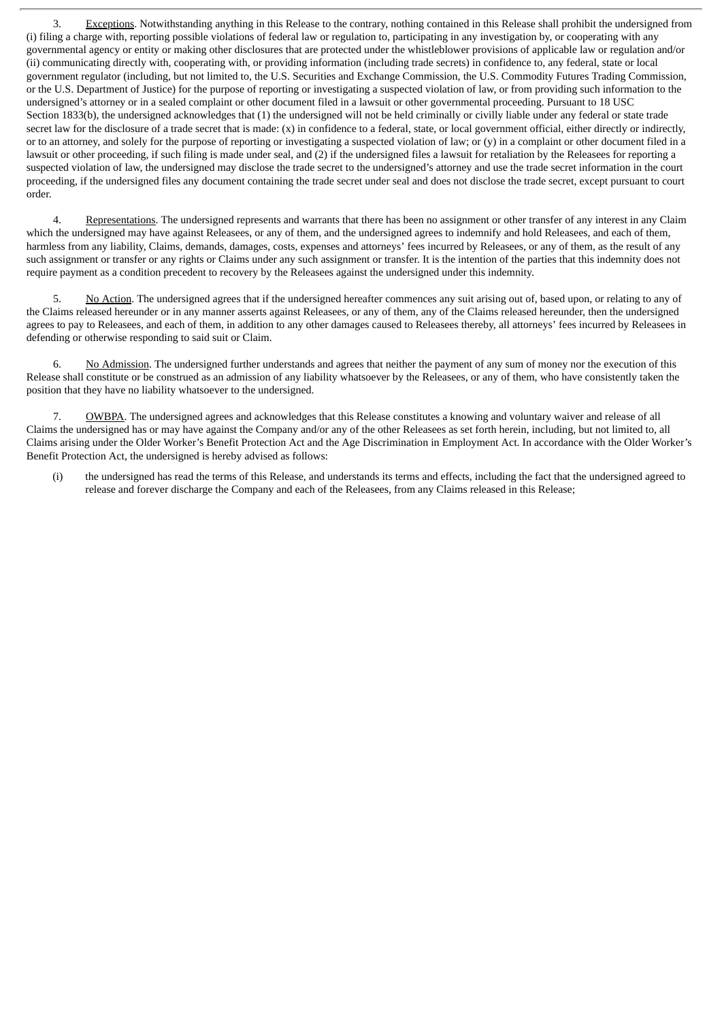3. Exceptions. Notwithstanding anything in this Release to the contrary, nothing contained in this Release shall prohibit the undersigned from (i) filing a charge with, reporting possible violations of federal law or regulation to, participating in any investigation by, or cooperating with any governmental agency or entity or making other disclosures that are protected under the whistleblower provisions of applicable law or regulation and/or (ii) communicating directly with, cooperating with, or providing information (including trade secrets) in confidence to, any federal, state or local government regulator (including, but not limited to, the U.S. Securities and Exchange Commission, the U.S. Commodity Futures Trading Commission, or the U.S. Department of Justice) for the purpose of reporting or investigating a suspected violation of law, or from providing such information to the undersigned's attorney or in a sealed complaint or other document filed in a lawsuit or other governmental proceeding. Pursuant to 18 USC Section 1833(b), the undersigned acknowledges that (1) the undersigned will not be held criminally or civilly liable under any federal or state trade secret law for the disclosure of a trade secret that is made: (x) in confidence to a federal, state, or local government official, either directly or indirectly, or to an attorney, and solely for the purpose of reporting or investigating a suspected violation of law; or  $(y)$  in a complaint or other document filed in a lawsuit or other proceeding, if such filing is made under seal, and (2) if the undersigned files a lawsuit for retaliation by the Releasees for reporting a suspected violation of law, the undersigned may disclose the trade secret to the undersigned's attorney and use the trade secret information in the court proceeding, if the undersigned files any document containing the trade secret under seal and does not disclose the trade secret, except pursuant to court order.

4. Representations. The undersigned represents and warrants that there has been no assignment or other transfer of any interest in any Claim which the undersigned may have against Releasees, or any of them, and the undersigned agrees to indemnify and hold Releasees, and each of them, harmless from any liability, Claims, demands, damages, costs, expenses and attorneys' fees incurred by Releasees, or any of them, as the result of any such assignment or transfer or any rights or Claims under any such assignment or transfer. It is the intention of the parties that this indemnity does not require payment as a condition precedent to recovery by the Releasees against the undersigned under this indemnity.

No Action. The undersigned agrees that if the undersigned hereafter commences any suit arising out of, based upon, or relating to any of the Claims released hereunder or in any manner asserts against Releasees, or any of them, any of the Claims released hereunder, then the undersigned agrees to pay to Releasees, and each of them, in addition to any other damages caused to Releasees thereby, all attorneys' fees incurred by Releasees in defending or otherwise responding to said suit or Claim.

6. No Admission. The undersigned further understands and agrees that neither the payment of any sum of money nor the execution of this Release shall constitute or be construed as an admission of any liability whatsoever by the Releasees, or any of them, who have consistently taken the position that they have no liability whatsoever to the undersigned.

7. OWBPA. The undersigned agrees and acknowledges that this Release constitutes a knowing and voluntary waiver and release of all Claims the undersigned has or may have against the Company and/or any of the other Releasees as set forth herein, including, but not limited to, all Claims arising under the Older Worker's Benefit Protection Act and the Age Discrimination in Employment Act. In accordance with the Older Worker's Benefit Protection Act, the undersigned is hereby advised as follows:

(i) the undersigned has read the terms of this Release, and understands its terms and effects, including the fact that the undersigned agreed to release and forever discharge the Company and each of the Releasees, from any Claims released in this Release;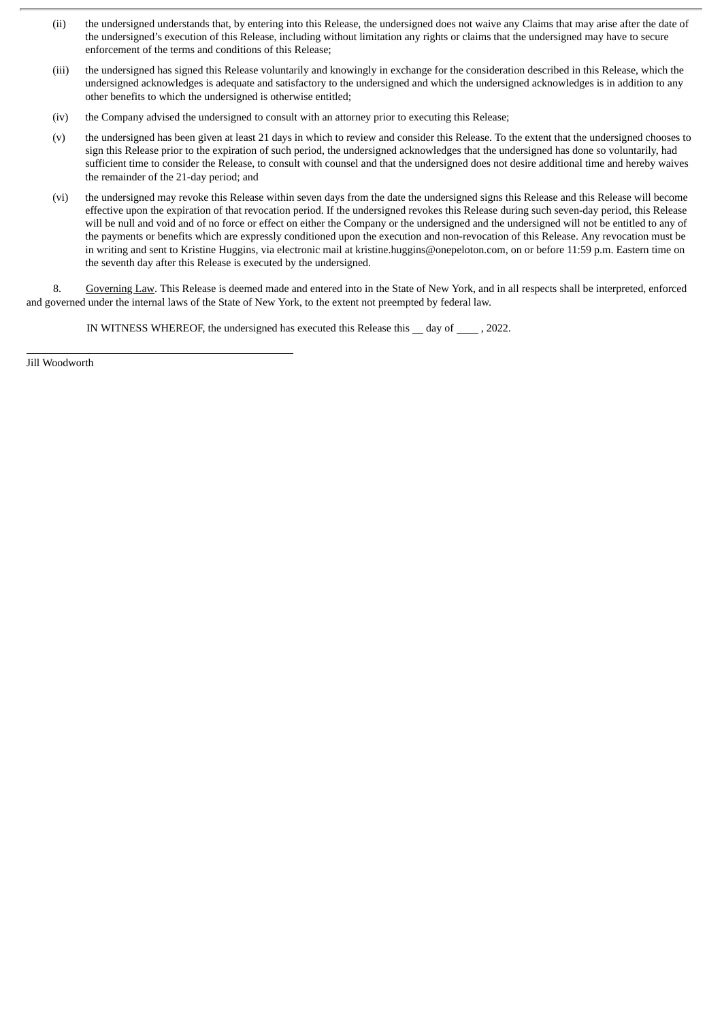- (ii) the undersigned understands that, by entering into this Release, the undersigned does not waive any Claims that may arise after the date of the undersigned's execution of this Release, including without limitation any rights or claims that the undersigned may have to secure enforcement of the terms and conditions of this Release;
- (iii) the undersigned has signed this Release voluntarily and knowingly in exchange for the consideration described in this Release, which the undersigned acknowledges is adequate and satisfactory to the undersigned and which the undersigned acknowledges is in addition to any other benefits to which the undersigned is otherwise entitled;
- (iv) the Company advised the undersigned to consult with an attorney prior to executing this Release;
- (v) the undersigned has been given at least 21 days in which to review and consider this Release. To the extent that the undersigned chooses to sign this Release prior to the expiration of such period, the undersigned acknowledges that the undersigned has done so voluntarily, had sufficient time to consider the Release, to consult with counsel and that the undersigned does not desire additional time and hereby waives the remainder of the 21-day period; and
- (vi) the undersigned may revoke this Release within seven days from the date the undersigned signs this Release and this Release will become effective upon the expiration of that revocation period. If the undersigned revokes this Release during such seven-day period, this Release will be null and void and of no force or effect on either the Company or the undersigned and the undersigned will not be entitled to any of the payments or benefits which are expressly conditioned upon the execution and non-revocation of this Release. Any revocation must be in writing and sent to Kristine Huggins, via electronic mail at kristine.huggins@onepeloton.com, on or before 11:59 p.m. Eastern time on the seventh day after this Release is executed by the undersigned.

8. Governing Law. This Release is deemed made and entered into in the State of New York, and in all respects shall be interpreted, enforced and governed under the internal laws of the State of New York, to the extent not preempted by federal law.

IN WITNESS WHEREOF, the undersigned has executed this Release this \_ day of \_\_\_\_\_, 2022.

Jill Woodworth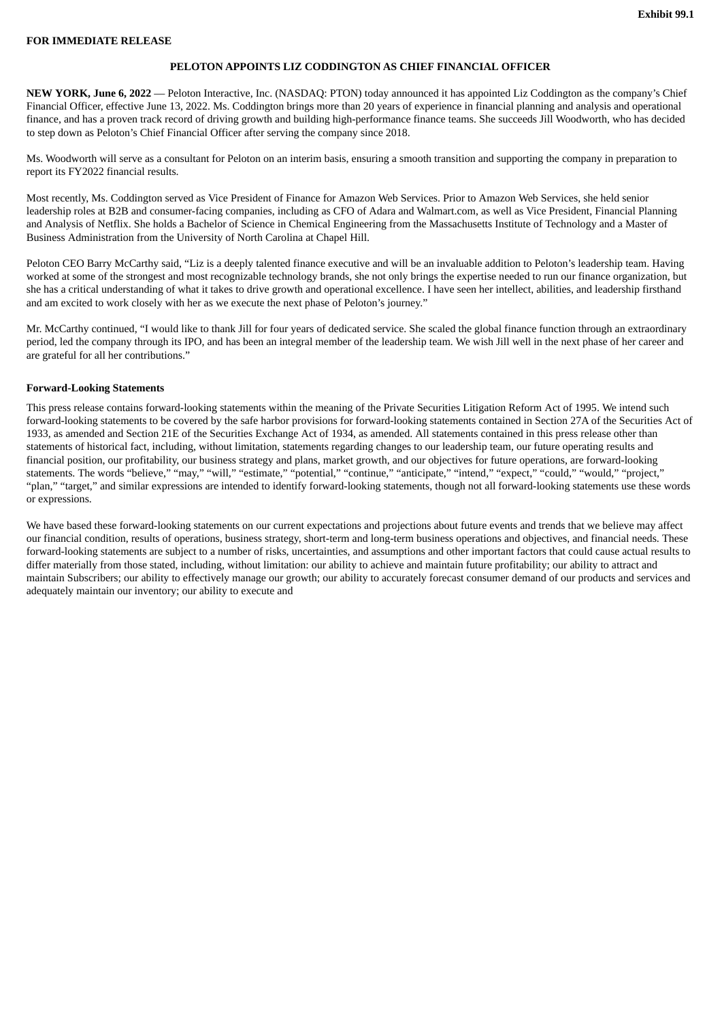#### <span id="page-22-0"></span>**FOR IMMEDIATE RELEASE**

#### **PELOTON APPOINTS LIZ CODDINGTON AS CHIEF FINANCIAL OFFICER**

**NEW YORK, June 6, 2022** — Peloton Interactive, Inc. (NASDAQ: PTON) today announced it has appointed Liz Coddington as the company's Chief Financial Officer, effective June 13, 2022. Ms. Coddington brings more than 20 years of experience in financial planning and analysis and operational finance, and has a proven track record of driving growth and building high-performance finance teams. She succeeds Jill Woodworth, who has decided to step down as Peloton's Chief Financial Officer after serving the company since 2018.

Ms. Woodworth will serve as a consultant for Peloton on an interim basis, ensuring a smooth transition and supporting the company in preparation to report its FY2022 financial results.

Most recently, Ms. Coddington served as Vice President of Finance for Amazon Web Services. Prior to Amazon Web Services, she held senior leadership roles at B2B and consumer-facing companies, including as CFO of Adara and Walmart.com, as well as Vice President, Financial Planning and Analysis of Netflix. She holds a Bachelor of Science in Chemical Engineering from the Massachusetts Institute of Technology and a Master of Business Administration from the University of North Carolina at Chapel Hill.

Peloton CEO Barry McCarthy said, "Liz is a deeply talented finance executive and will be an invaluable addition to Peloton's leadership team. Having worked at some of the strongest and most recognizable technology brands, she not only brings the expertise needed to run our finance organization, but she has a critical understanding of what it takes to drive growth and operational excellence. I have seen her intellect, abilities, and leadership firsthand and am excited to work closely with her as we execute the next phase of Peloton's journey."

Mr. McCarthy continued, "I would like to thank Jill for four years of dedicated service. She scaled the global finance function through an extraordinary period, led the company through its IPO, and has been an integral member of the leadership team. We wish Jill well in the next phase of her career and are grateful for all her contributions."

#### **Forward-Looking Statements**

This press release contains forward-looking statements within the meaning of the Private Securities Litigation Reform Act of 1995. We intend such forward-looking statements to be covered by the safe harbor provisions for forward-looking statements contained in Section 27A of the Securities Act of 1933, as amended and Section 21E of the Securities Exchange Act of 1934, as amended. All statements contained in this press release other than statements of historical fact, including, without limitation, statements regarding changes to our leadership team, our future operating results and financial position, our profitability, our business strategy and plans, market growth, and our objectives for future operations, are forward-looking statements. The words "believe," "may," "will," "estimate," "potential," "continue," "anticipate," "intend," "expect," "could," "would," "project," "plan," "target," and similar expressions are intended to identify forward-looking statements, though not all forward-looking statements use these words or expressions.

We have based these forward-looking statements on our current expectations and projections about future events and trends that we believe may affect our financial condition, results of operations, business strategy, short-term and long-term business operations and objectives, and financial needs. These forward-looking statements are subject to a number of risks, uncertainties, and assumptions and other important factors that could cause actual results to differ materially from those stated, including, without limitation: our ability to achieve and maintain future profitability; our ability to attract and maintain Subscribers; our ability to effectively manage our growth; our ability to accurately forecast consumer demand of our products and services and adequately maintain our inventory; our ability to execute and